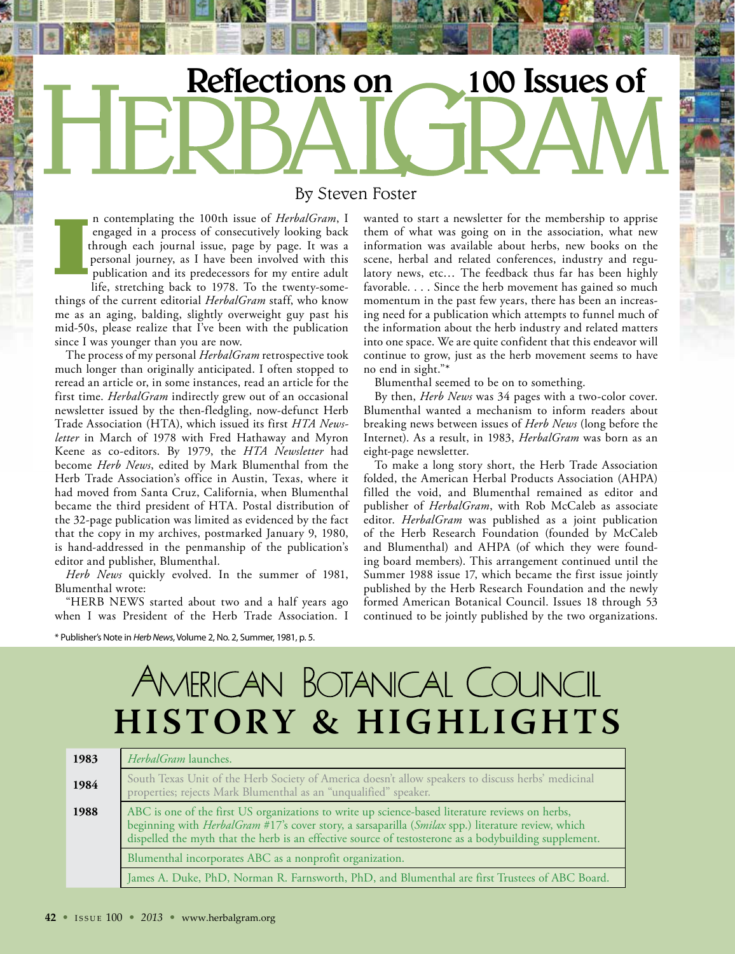# Reflections on 100 Issues of

#### By Steven Foster

n contemplating the 100th issue of *HerbalGram*, I engaged in a process of consecutively looking back through each journal issue, page by page. It was a personal journey, as I have been involved with this publication and its predecessors for my entire adult

life, stretching back to 1978. To the twenty-somethings of the current editorial *HerbalGram* staff, who know me as an aging, balding, slightly overweight guy past his mid-50s, please realize that I've been with the publication since I was younger than you are now.

The process of my personal *HerbalGram* retrospective took much longer than originally anticipated. I often stopped to reread an article or, in some instances, read an article for the first time. *HerbalGram* indirectly grew out of an occasional newsletter issued by the then-fledgling, now-defunct Herb Trade Association (HTA), which issued its first *HTA Newsletter* in March of 1978 with Fred Hathaway and Myron Keene as co-editors. By 1979, the *HTA Newsletter* had become *Herb News*, edited by Mark Blumenthal from the Herb Trade Association's office in Austin, Texas, where it had moved from Santa Cruz, California, when Blumenthal became the third president of HTA. Postal distribution of the 32-page publication was limited as evidenced by the fact that the copy in my archives, postmarked January 9, 1980, is hand-addressed in the penmanship of the publication's editor and publisher, Blumenthal.

*Herb News* quickly evolved. In the summer of 1981, Blumenthal wrote:

"HERB NEWS started about two and a half years ago when I was President of the Herb Trade Association. I

wanted to start a newsletter for the membership to apprise them of what was going on in the association, what new information was available about herbs, new books on the scene, herbal and related conferences, industry and regulatory news, etc… The feedback thus far has been highly favorable. . . . Since the herb movement has gained so much momentum in the past few years, there has been an increasing need for a publication which attempts to funnel much of the information about the herb industry and related matters into one space. We are quite confident that this endeavor will continue to grow, just as the herb movement seems to have no end in sight."\*

Blumenthal seemed to be on to something.

By then, *Herb News* was 34 pages with a two-color cover. Blumenthal wanted a mechanism to inform readers about breaking news between issues of *Herb News* (long before the Internet). As a result, in 1983, *HerbalGram* was born as an eight-page newsletter.

To make a long story short, the Herb Trade Association folded, the American Herbal Products Association (AHPA) filled the void, and Blumenthal remained as editor and publisher of *HerbalGram*, with Rob McCaleb as associate editor. *HerbalGram* was published as a joint publication of the Herb Research Foundation (founded by McCaleb and Blumenthal) and AHPA (of which they were founding board members). This arrangement continued until the Summer 1988 issue 17, which became the first issue jointly published by the Herb Research Foundation and the newly formed American Botanical Council. Issues 18 through 53 continued to be jointly published by the two organizations.

\* Publisher's Note in *Herb News*, Volume 2, No. 2, Summer, 1981, p. 5.

### AMERICAN BOTANICAL COUNCIL **HISTORY & HIGHLIGHTS**

| 1983 | HerbalGram launches.                                                                                                                                                                                                                                                                                                  |
|------|-----------------------------------------------------------------------------------------------------------------------------------------------------------------------------------------------------------------------------------------------------------------------------------------------------------------------|
| 1984 | South Texas Unit of the Herb Society of America doesn't allow speakers to discuss herbs' medicinal<br>properties; rejects Mark Blumenthal as an "unqualified" speaker.                                                                                                                                                |
| 1988 | ABC is one of the first US organizations to write up science-based literature reviews on herbs,<br>beginning with <i>HerbalGram</i> #17's cover story, a sarsaparilla (Smilax spp.) literature review, which<br>dispelled the myth that the herb is an effective source of testosterone as a bodybuilding supplement. |
|      | Blumenthal incorporates ABC as a nonprofit organization.                                                                                                                                                                                                                                                              |
|      | James A. Duke, PhD, Norman R. Farnsworth, PhD, and Blumenthal are first Trustees of ABC Board.                                                                                                                                                                                                                        |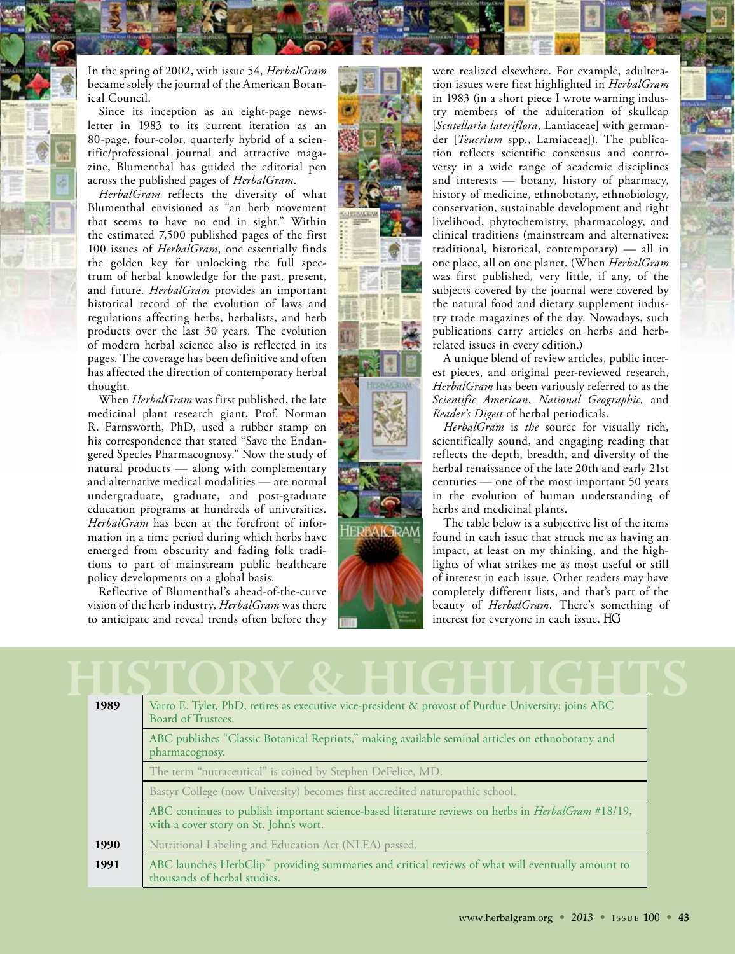In the spring of 2002, with issue 54, *HerbalGram* became solely the journal of the American Botanical Council.

Since its inception as an eight-page newsletter in 1983 to its current iteration as an 80-page, four-color, quarterly hybrid of a scientific/professional journal and attractive magazine, Blumenthal has guided the editorial pen across the published pages of *HerbalGram*.

*HerbalGram* reflects the diversity of what Blumenthal envisioned as "an herb movement that seems to have no end in sight." Within the estimated 7,500 published pages of the first 100 issues of *HerbalGram*, one essentially finds the golden key for unlocking the full spectrum of herbal knowledge for the past, present, and future. *HerbalGram* provides an important historical record of the evolution of laws and regulations affecting herbs, herbalists, and herb products over the last 30 years. The evolution of modern herbal science also is reflected in its pages. The coverage has been definitive and often has affected the direction of contemporary herbal thought.

When *HerbalGram* was first published, the late medicinal plant research giant, Prof. Norman R. Farnsworth, PhD, used a rubber stamp on his correspondence that stated "Save the Endangered Species Pharmacognosy." Now the study of natural products — along with complementary and alternative medical modalities — are normal undergraduate, graduate, and post-graduate education programs at hundreds of universities. *HerbalGram* has been at the forefront of information in a time period during which herbs have emerged from obscurity and fading folk traditions to part of mainstream public healthcare policy developments on a global basis.

Reflective of Blumenthal's ahead-of-the-curve vision of the herb industry, *HerbalGram* was there to anticipate and reveal trends often before they



were realized elsewhere. For example, adulteration issues were first highlighted in *HerbalGram*  in 1983 (in a short piece I wrote warning industry members of the adulteration of skullcap [*Scutellaria lateriflora*, Lamiaceae] with germander [*Teucrium* spp., Lamiaceae]). The publication reflects scientific consensus and controversy in a wide range of academic disciplines and interests — botany, history of pharmacy, history of medicine, ethnobotany, ethnobiology, conservation, sustainable development and right livelihood, phytochemistry, pharmacology, and clinical traditions (mainstream and alternatives: traditional, historical, contemporary) — all in one place, all on one planet. (When *HerbalGram* was first published, very little, if any, of the subjects covered by the journal were covered by the natural food and dietary supplement industry trade magazines of the day. Nowadays, such publications carry articles on herbs and herbrelated issues in every edition.)

A unique blend of review articles, public interest pieces, and original peer-reviewed research, *HerbalGram* has been variously referred to as the *Scientific American*, *National Geographic,* and *Reader's Digest* of herbal periodicals.

*HerbalGram* is *the* source for visually rich, scientifically sound, and engaging reading that reflects the depth, breadth, and diversity of the herbal renaissance of the late 20th and early 21st centuries — one of the most important 50 years in the evolution of human understanding of herbs and medicinal plants.

The table below is a subjective list of the items found in each issue that struck me as having an impact, at least on my thinking, and the highlights of what strikes me as most useful or still of interest in each issue. Other readers may have completely different lists, and that's part of the beauty of *HerbalGram*. There's something of interest for everyone in each issue.

| 1989 | Varro E. Tyler, PhD, retires as executive vice-president & provost of Purdue University; joins ABC<br>Board of Trustees.                            |
|------|-----------------------------------------------------------------------------------------------------------------------------------------------------|
|      | ABC publishes "Classic Botanical Reprints," making available seminal articles on ethnobotany and<br>pharmacognosy.                                  |
|      | The term "nutraceutical" is coined by Stephen DeFelice, MD.                                                                                         |
|      | Bastyr College (now University) becomes first accredited naturopathic school.                                                                       |
|      | ABC continues to publish important science-based literature reviews on herbs in <i>HerbalGram</i> #18/19,<br>with a cover story on St. John's wort. |
| 1990 | Nutritional Labeling and Education Act (NLEA) passed.                                                                                               |
| 1991 | ABC launches HerbClip" providing summaries and critical reviews of what will eventually amount to<br>thousands of herbal studies.                   |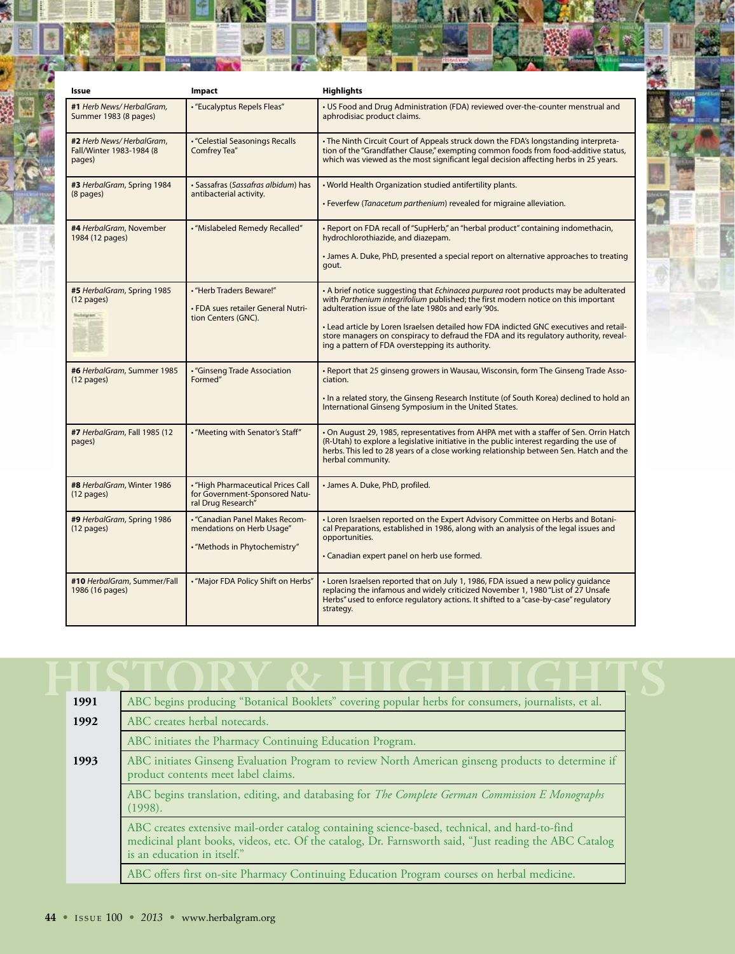| Issue                                                           | Impact                                                                                       | <b>Highlights</b>                                                                                                                                                                                                                                                                                                                                                                                                                                                                |
|-----------------------------------------------------------------|----------------------------------------------------------------------------------------------|----------------------------------------------------------------------------------------------------------------------------------------------------------------------------------------------------------------------------------------------------------------------------------------------------------------------------------------------------------------------------------------------------------------------------------------------------------------------------------|
| #1 Herb News/HerbalGram,<br>Summer 1983 (8 pages)               | • "Eucalyptus Repels Fleas"                                                                  | • US Food and Drug Administration (FDA) reviewed over-the-counter menstrual and<br>aphrodisiac product claims.                                                                                                                                                                                                                                                                                                                                                                   |
| #2 Herb News/HerbalGram,<br>Fall/Winter 1983-1984 (8<br>pages)  | · "Celestial Seasonings Recalls<br>Comfrey Tea"                                              | . The Ninth Circuit Court of Appeals struck down the FDA's longstanding interpreta-<br>tion of the "Grandfather Clause," exempting common foods from food-additive status,<br>which was viewed as the most significant legal decision affecting herbs in 25 years.                                                                                                                                                                                                               |
| #3 HerbalGram, Spring 1984<br>$(8$ pages)                       | · Sassafras (Sassafras albidum) has<br>antibacterial activity.                               | . World Health Organization studied antifertility plants.<br>• Feverfew (Tanacetum parthenium) revealed for migraine alleviation.                                                                                                                                                                                                                                                                                                                                                |
| #4 HerbalGram, November<br>1984 (12 pages)                      | · "Mislabeled Remedy Recalled"                                                               | • Report on FDA recall of "SupHerb," an "herbal product" containing indomethacin,<br>hydrochlorothiazide, and diazepam.<br>• James A. Duke, PhD, presented a special report on alternative approaches to treating<br>gout.                                                                                                                                                                                                                                                       |
| #5 HerbalGram, Spring 1985<br>$(12 \text{ pages})$<br>lutegram. | • "Herb Traders Beware!"<br>• FDA sues retailer General Nutri-<br>tion Centers (GNC).        | • A brief notice suggesting that <i>Echingcea purpurea</i> root products may be adulterated<br>with Parthenium integrifolium published; the first modern notice on this important<br>adulteration issue of the late 1980s and early '90s.<br>. Lead article by Loren Israelsen detailed how FDA indicted GNC executives and retail-<br>store managers on conspiracy to defraud the FDA and its regulatory authority, reveal-<br>ing a pattern of FDA overstepping its authority. |
| #6 HerbalGram, Summer 1985<br>$(12$ pages)                      | · "Ginseng Trade Association<br>Formed"                                                      | • Report that 25 ginseng growers in Wausau, Wisconsin, form The Ginseng Trade Asso-<br>ciation.<br>. In a related story, the Ginseng Research Institute (of South Korea) declined to hold an<br>International Ginseng Symposium in the United States.                                                                                                                                                                                                                            |
| #7 HerbalGram, Fall 1985 (12<br>pages)                          | . "Meeting with Senator's Staff"                                                             | • On August 29, 1985, representatives from AHPA met with a staffer of Sen. Orrin Hatch<br>(R-Utah) to explore a legislative initiative in the public interest regarding the use of<br>herbs. This led to 28 years of a close working relationship between Sen. Hatch and the<br>herbal community.                                                                                                                                                                                |
| #8 HerbalGram, Winter 1986<br>$(12 \text{ pages})$              | . "High Pharmaceutical Prices Call<br>for Government-Sponsored Natu-<br>ral Drug Research"   | · James A. Duke, PhD, profiled.                                                                                                                                                                                                                                                                                                                                                                                                                                                  |
| #9 HerbalGram, Spring 1986<br>$(12$ pages)                      | - "Canadian Panel Makes Recom-<br>mendations on Herb Usage"<br>• "Methods in Phytochemistry" | • Loren Israelsen reported on the Expert Advisory Committee on Herbs and Botani-<br>cal Preparations, established in 1986, along with an analysis of the legal issues and<br>opportunities.<br>• Canadian expert panel on herb use formed.                                                                                                                                                                                                                                       |
| #10 HerbalGram, Summer/Fall<br>1986 (16 pages)                  | • "Major FDA Policy Shift on Herbs"                                                          | • Loren Israelsen reported that on July 1, 1986, FDA issued a new policy guidance<br>replacing the infamous and widely criticized November 1, 1980 "List of 27 Unsafe<br>Herbs" used to enforce regulatory actions. It shifted to a "case-by-case" regulatory<br>strategy.                                                                                                                                                                                                       |

| 1991 | ABC begins producing "Botanical Booklets" covering popular herbs for consumers, journalists, et al.                                                                                                                                     |
|------|-----------------------------------------------------------------------------------------------------------------------------------------------------------------------------------------------------------------------------------------|
| 1992 | ABC creates herbal notecards.                                                                                                                                                                                                           |
|      | ABC initiates the Pharmacy Continuing Education Program.                                                                                                                                                                                |
| 1993 | ABC initiates Ginseng Evaluation Program to review North American ginseng products to determine if<br>product contents meet label claims.                                                                                               |
|      | ABC begins translation, editing, and databasing for The Complete German Commission E Monographs<br>(1998).                                                                                                                              |
|      | ABC creates extensive mail-order catalog containing science-based, technical, and hard-to-find<br>medicinal plant books, videos, etc. Of the catalog, Dr. Farnsworth said, "Just reading the ABC Catalog<br>is an education in itself." |
|      | ABC offers first on-site Pharmacy Continuing Education Program courses on herbal medicine.                                                                                                                                              |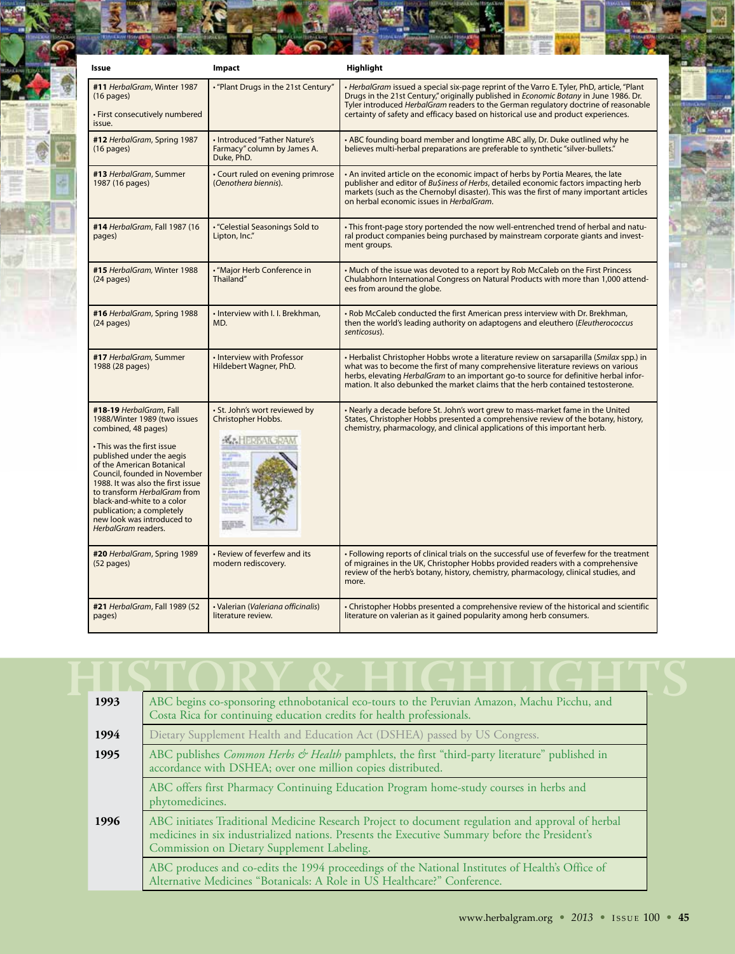| Issue                                                                                                                                                                                                                                                                                                                                                                                       | Impact                                                                       | Highlight                                                                                                                                                                                                                                                                                                                                                              |
|---------------------------------------------------------------------------------------------------------------------------------------------------------------------------------------------------------------------------------------------------------------------------------------------------------------------------------------------------------------------------------------------|------------------------------------------------------------------------------|------------------------------------------------------------------------------------------------------------------------------------------------------------------------------------------------------------------------------------------------------------------------------------------------------------------------------------------------------------------------|
| #11 HerbalGram, Winter 1987<br>$(16 \text{ pages})$<br>· First consecutively numbered<br>issue.                                                                                                                                                                                                                                                                                             | . "Plant Drugs in the 21st Century"                                          | • HerbalGram issued a special six-page reprint of the Varro E. Tyler, PhD, article, "Plant<br>Drugs in the 21st Century," originally published in <i>Economic Botany</i> in June 1986. Dr.<br>Tyler introduced HerbalGram readers to the German regulatory doctrine of reasonable<br>certainty of safety and efficacy based on historical use and product experiences. |
| #12 HerbalGram, Spring 1987<br>$(16$ pages)                                                                                                                                                                                                                                                                                                                                                 | · Introduced "Father Nature's<br>Farmacy" column by James A.<br>Duke, PhD.   | • ABC founding board member and longtime ABC ally, Dr. Duke outlined why he<br>believes multi-herbal preparations are preferable to synthetic "silver-bullets."                                                                                                                                                                                                        |
| #13 HerbalGram, Summer<br>1987 (16 pages)                                                                                                                                                                                                                                                                                                                                                   | • Court ruled on evening primrose<br>(Oenothera biennis).                    | . An invited article on the economic impact of herbs by Portia Meares, the late<br>publisher and editor of Bu\$iness of Herbs, detailed economic factors impacting herb<br>markets (such as the Chernobyl disaster). This was the first of many important articles<br>on herbal economic issues in HerbalGram.                                                         |
| #14 HerbalGram, Fall 1987 (16<br>pages)                                                                                                                                                                                                                                                                                                                                                     | • "Celestial Seasonings Sold to<br>Lipton, Inc."                             | • This front-page story portended the now well-entrenched trend of herbal and natu-<br>ral product companies being purchased by mainstream corporate giants and invest-<br>ment groups.                                                                                                                                                                                |
| #15 HerbalGram, Winter 1988<br>$(24$ pages)                                                                                                                                                                                                                                                                                                                                                 | • "Major Herb Conference in<br>Thailand"                                     | • Much of the issue was devoted to a report by Rob McCaleb on the First Princess<br>Chulabhorn International Congress on Natural Products with more than 1,000 attend-<br>ees from around the globe.                                                                                                                                                                   |
| #16 HerbalGram, Spring 1988<br>$(24$ pages)                                                                                                                                                                                                                                                                                                                                                 | · Interview with I. I. Brekhman,<br>MD.                                      | . Rob McCaleb conducted the first American press interview with Dr. Brekhman,<br>then the world's leading authority on adaptogens and eleuthero (Eleutherococcus<br>senticosus).                                                                                                                                                                                       |
| #17 HerbalGram, Summer<br>1988 (28 pages)                                                                                                                                                                                                                                                                                                                                                   | • Interview with Professor<br>Hildebert Wagner, PhD.                         | • Herbalist Christopher Hobbs wrote a literature review on sarsaparilla (Smilax spp.) in<br>what was to become the first of many comprehensive literature reviews on various<br>herbs, elevating <i>HerbalGram</i> to an important go-to source for definitive herbal infor-<br>mation. It also debunked the market claims that the herb contained testosterone.       |
| #18-19 HerbalGram, Fall<br>1988/Winter 1989 (two issues<br>combined, 48 pages)<br>• This was the first issue<br>published under the aegis<br>of the American Botanical<br>Council, founded in November<br>1988. It was also the first issue<br>to transform HerbalGram from<br>black-and-white to a color<br>publication; a completely<br>new look was introduced to<br>HerbalGram readers. | · St. John's wort reviewed by<br>Christopher Hobbs.<br><b>K.: HERBAK RAM</b> | • Nearly a decade before St. John's wort grew to mass-market fame in the United<br>States, Christopher Hobbs presented a comprehensive review of the botany, history,<br>chemistry, pharmacology, and clinical applications of this important herb.                                                                                                                    |
| #20 HerbalGram, Spring 1989<br>$(52$ pages)                                                                                                                                                                                                                                                                                                                                                 | • Review of feverfew and its<br>modern rediscovery.                          | . Following reports of clinical trials on the successful use of feverfew for the treatment<br>of migraines in the UK, Christopher Hobbs provided readers with a comprehensive<br>review of the herb's botany, history, chemistry, pharmacology, clinical studies, and<br>more.                                                                                         |
| #21 HerbalGram, Fall 1989 (52<br>pages)                                                                                                                                                                                                                                                                                                                                                     | · Valerian (Valeriana officinalis)<br>literature review.                     | • Christopher Hobbs presented a comprehensive review of the historical and scientific<br>literature on valerian as it gained popularity among herb consumers.                                                                                                                                                                                                          |

| 1993 | ABC begins co-sponsoring ethnobotanical eco-tours to the Peruvian Amazon, Machu Picchu, and<br>Costa Rica for continuing education credits for health professionals.                                                                              |
|------|---------------------------------------------------------------------------------------------------------------------------------------------------------------------------------------------------------------------------------------------------|
| 1994 | Dietary Supplement Health and Education Act (DSHEA) passed by US Congress.                                                                                                                                                                        |
| 1995 | ABC publishes <i>Common Herbs &amp; Health</i> pamphlets, the first "third-party literature" published in<br>accordance with DSHEA; over one million copies distributed.                                                                          |
|      | ABC offers first Pharmacy Continuing Education Program home-study courses in herbs and<br>phytomedicines.                                                                                                                                         |
| 1996 | ABC initiates Traditional Medicine Research Project to document regulation and approval of herbal<br>medicines in six industrialized nations. Presents the Executive Summary before the President's<br>Commission on Dietary Supplement Labeling. |
|      | ABC produces and co-edits the 1994 proceedings of the National Institutes of Health's Office of<br>Alternative Medicines "Botanicals: A Role in US Healthcare?" Conference.                                                                       |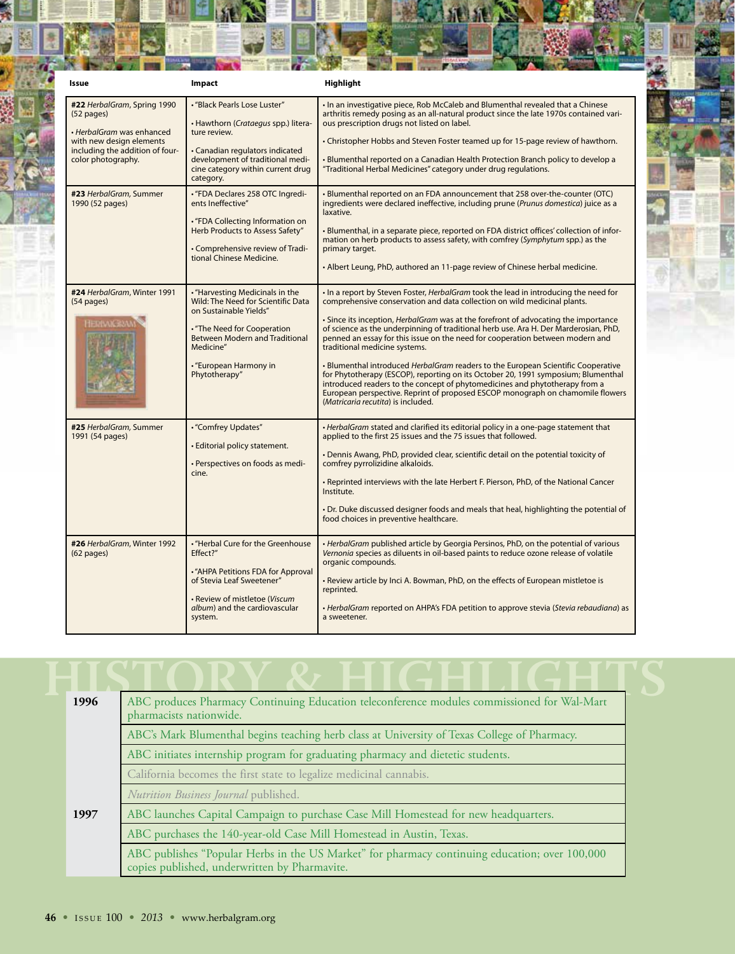| Issue                                                                                                                                                                                                      | Impact                                                                                                                                                                                                                                                                                                                                                                                                       | Highlight                                                                                                                                                                                                                                                                                                                                                                                                                                                                                                                                                                                                                                                                                                                                                                                                                                                                                                                                |
|------------------------------------------------------------------------------------------------------------------------------------------------------------------------------------------------------------|--------------------------------------------------------------------------------------------------------------------------------------------------------------------------------------------------------------------------------------------------------------------------------------------------------------------------------------------------------------------------------------------------------------|------------------------------------------------------------------------------------------------------------------------------------------------------------------------------------------------------------------------------------------------------------------------------------------------------------------------------------------------------------------------------------------------------------------------------------------------------------------------------------------------------------------------------------------------------------------------------------------------------------------------------------------------------------------------------------------------------------------------------------------------------------------------------------------------------------------------------------------------------------------------------------------------------------------------------------------|
| #22 HerbalGram, Spring 1990<br>$(52$ pages)<br>• HerbalGram was enhanced<br>with new design elements<br>including the addition of four-<br>color photography.<br>#23 HerbalGram, Summer<br>1990 (52 pages) | · "Black Pearls Lose Luster"<br>• Hawthorn (Crataegus spp.) litera-<br>ture review.<br>• Canadian regulators indicated<br>development of traditional medi-<br>cine category within current drug<br>category.<br>• "FDA Declares 258 OTC Ingredi-<br>ents Ineffective"<br>• "FDA Collecting Information on<br>Herb Products to Assess Safety"<br>• Comprehensive review of Tradi-<br>tional Chinese Medicine. | . In an investigative piece, Rob McCaleb and Blumenthal revealed that a Chinese<br>arthritis remedy posing as an all-natural product since the late 1970s contained vari-<br>ous prescription drugs not listed on label.<br>• Christopher Hobbs and Steven Foster teamed up for 15-page review of hawthorn.<br>• Blumenthal reported on a Canadian Health Protection Branch policy to develop a<br>"Traditional Herbal Medicines" category under drug regulations.<br>. Blumenthal reported on an FDA announcement that 258 over-the-counter (OTC)<br>ingredients were declared ineffective, including prune (Prunus domestica) juice as a<br>laxative.<br>. Blumenthal, in a separate piece, reported on FDA district offices' collection of infor-<br>mation on herb products to assess safety, with comfrey (Symphytum spp.) as the<br>primary target.<br>• Albert Leung, PhD, authored an 11-page review of Chinese herbal medicine. |
| #24 HerbalGram, Winter 1991<br>(54 pages)<br><b>HERBAICRAN</b>                                                                                                                                             | . "Harvesting Medicinals in the<br>Wild: The Need for Scientific Data<br>on Sustainable Yields"<br>. "The Need for Cooperation<br><b>Between Modern and Traditional</b><br>Medicine"<br>· "European Harmony in<br>Phytotherapy"                                                                                                                                                                              | . In a report by Steven Foster, <i>HerbalGram</i> took the lead in introducing the need for<br>comprehensive conservation and data collection on wild medicinal plants.<br>. Since its inception, <i>HerbalGram</i> was at the forefront of advocating the importance<br>of science as the underpinning of traditional herb use. Ara H. Der Marderosian, PhD,<br>penned an essay for this issue on the need for cooperation between modern and<br>traditional medicine systems.<br>• Blumenthal introduced HerbalGram readers to the European Scientific Cooperative<br>for Phytotherapy (ESCOP), reporting on its October 20, 1991 symposium; Blumenthal<br>introduced readers to the concept of phytomedicines and phytotherapy from a<br>European perspective. Reprint of proposed ESCOP monograph on chamomile flowers<br>(Matricaria recutita) is included.                                                                         |
| #25 HerbalGram, Summer<br>1991 (54 pages)                                                                                                                                                                  | • "Comfrey Updates"<br>· Editorial policy statement.<br>· Perspectives on foods as medi-<br>cine.                                                                                                                                                                                                                                                                                                            | • HerbalGram stated and clarified its editorial policy in a one-page statement that<br>applied to the first 25 issues and the 75 issues that followed.<br>• Dennis Awang, PhD, provided clear, scientific detail on the potential toxicity of<br>comfrey pyrrolizidine alkaloids.<br>. Reprinted interviews with the late Herbert F. Pierson, PhD, of the National Cancer<br>Institute.<br>• Dr. Duke discussed designer foods and meals that heal, highlighting the potential of<br>food choices in preventive healthcare.                                                                                                                                                                                                                                                                                                                                                                                                              |
| #26 HerbalGram, Winter 1992<br>$(62$ pages)                                                                                                                                                                | . "Herbal Cure for the Greenhouse<br>Effect?"<br>. "AHPA Petitions FDA for Approval<br>of Stevia Leaf Sweetener"<br>• Review of mistletoe (Viscum<br>album) and the cardiovascular<br>system.                                                                                                                                                                                                                | • HerbalGram published article by Georgia Persinos, PhD, on the potential of various<br>Vernonia species as diluents in oil-based paints to reduce ozone release of volatile<br>organic compounds.<br>. Review article by Inci A. Bowman, PhD, on the effects of European mistletoe is<br>reprinted.<br>• HerbalGram reported on AHPA's FDA petition to approve stevia (Stevia rebaudiana) as<br>a sweetener.                                                                                                                                                                                                                                                                                                                                                                                                                                                                                                                            |

| 1996 | ABC produces Pharmacy Continuing Education teleconference modules commissioned for Wal-Mart<br>pharmacists nationwide.                          |  |  |  |
|------|-------------------------------------------------------------------------------------------------------------------------------------------------|--|--|--|
|      | ABC's Mark Blumenthal begins teaching herb class at University of Texas College of Pharmacy.                                                    |  |  |  |
|      | ABC initiates internship program for graduating pharmacy and dietetic students.                                                                 |  |  |  |
|      | California becomes the first state to legalize medicinal cannabis.                                                                              |  |  |  |
|      | Nutrition Business Journal published.                                                                                                           |  |  |  |
| 1997 | ABC launches Capital Campaign to purchase Case Mill Homestead for new headquarters.                                                             |  |  |  |
|      | ABC purchases the 140-year-old Case Mill Homestead in Austin, Texas.                                                                            |  |  |  |
|      | ABC publishes "Popular Herbs in the US Market" for pharmacy continuing education; over 100,000<br>copies published, underwritten by Pharmavite. |  |  |  |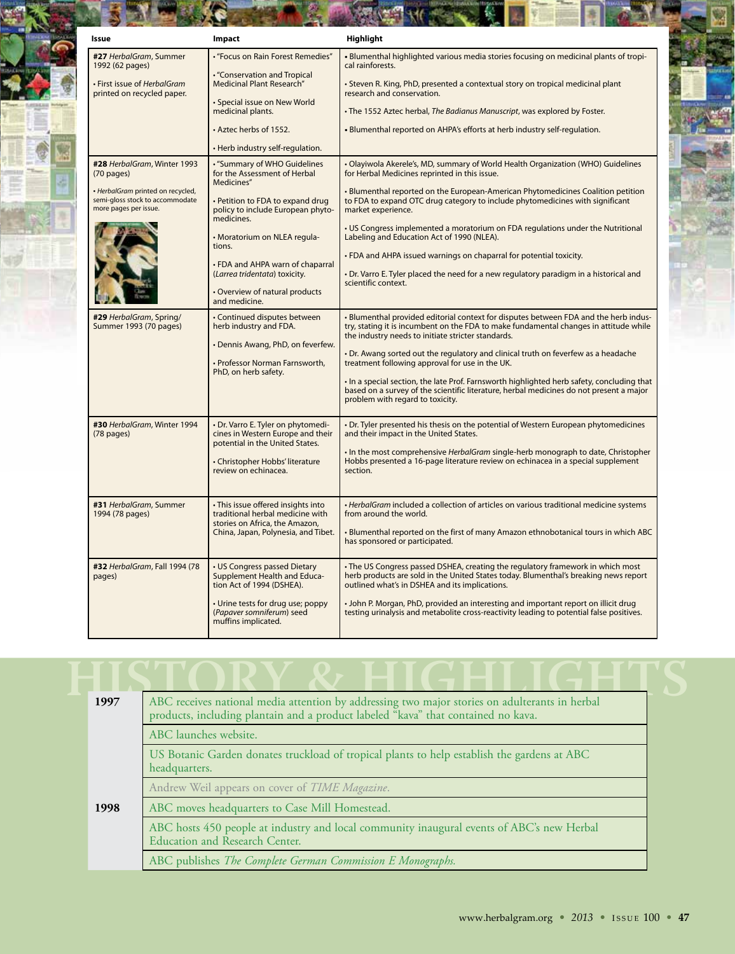| Issue                                                                                                                                                | Impact                                                                                                                                                                                                                                                                                                                                                                  | Highlight                                                                                                                                                                                                                                                                                                                                                                                                                                                                                                                                                                                                                                             |
|------------------------------------------------------------------------------------------------------------------------------------------------------|-------------------------------------------------------------------------------------------------------------------------------------------------------------------------------------------------------------------------------------------------------------------------------------------------------------------------------------------------------------------------|-------------------------------------------------------------------------------------------------------------------------------------------------------------------------------------------------------------------------------------------------------------------------------------------------------------------------------------------------------------------------------------------------------------------------------------------------------------------------------------------------------------------------------------------------------------------------------------------------------------------------------------------------------|
| #27 HerbalGram, Summer<br>1992 (62 pages)<br>· First issue of HerbalGram<br>printed on recycled paper.                                               | • "Focus on Rain Forest Remedies"<br><b>.</b> "Conservation and Tropical<br><b>Medicinal Plant Research"</b><br>· Special issue on New World<br>medicinal plants.<br>• Aztec herbs of 1552.                                                                                                                                                                             | . Blumenthal highlighted various media stories focusing on medicinal plants of tropi-<br>cal rainforests.<br>. Steven R. King, PhD, presented a contextual story on tropical medicinal plant<br>research and conservation.<br>. The 1552 Aztec herbal, The Badianus Manuscript, was explored by Foster.<br>. Blumenthal reported on AHPA's efforts at herb industry self-regulation.                                                                                                                                                                                                                                                                  |
| #28 HerbalGram, Winter 1993<br>$(70 \text{ pages})$<br>· HerbalGram printed on recycled,<br>semi-gloss stock to accommodate<br>more pages per issue. | • Herb industry self-regulation.<br>. "Summary of WHO Guidelines<br>for the Assessment of Herbal<br>Medicines"<br>· Petition to FDA to expand drug<br>policy to include European phyto-<br>medicines.<br>• Moratorium on NLEA regula-<br>tions.<br>• FDA and AHPA warn of chaparral<br>(Larrea tridentata) toxicity.<br>• Overview of natural products<br>and medicine. | . Olayiwola Akerele's, MD, summary of World Health Organization (WHO) Guidelines<br>for Herbal Medicines reprinted in this issue.<br>• Blumenthal reported on the European-American Phytomedicines Coalition petition<br>to FDA to expand OTC drug category to include phytomedicines with significant<br>market experience.<br>• US Congress implemented a moratorium on FDA regulations under the Nutritional<br>Labeling and Education Act of 1990 (NLEA).<br>. FDA and AHPA issued warnings on chaparral for potential toxicity.<br>• Dr. Varro E. Tyler placed the need for a new regulatory paradigm in a historical and<br>scientific context. |
| #29 HerbalGram, Spring/<br>Summer 1993 (70 pages)                                                                                                    | • Continued disputes between<br>herb industry and FDA.<br>• Dennis Awang, PhD, on feverfew.<br>· Professor Norman Farnsworth,<br>PhD, on herb safety.                                                                                                                                                                                                                   | - Blumenthal provided editorial context for disputes between FDA and the herb indus-<br>try, stating it is incumbent on the FDA to make fundamental changes in attitude while<br>the industry needs to initiate stricter standards.<br>• Dr. Awang sorted out the regulatory and clinical truth on feverfew as a headache<br>treatment following approval for use in the UK.<br>. In a special section, the late Prof. Farnsworth highlighted herb safety, concluding that<br>based on a survey of the scientific literature, herbal medicines do not present a major<br>problem with regard to toxicity.                                             |
| #30 HerbalGram, Winter 1994<br>(78 pages)                                                                                                            | · Dr. Varro E. Tyler on phytomedi-<br>cines in Western Europe and their<br>potential in the United States.<br>· Christopher Hobbs' literature<br>review on echinacea.                                                                                                                                                                                                   | • Dr. Tyler presented his thesis on the potential of Western European phytomedicines<br>and their impact in the United States.<br>. In the most comprehensive <i>HerbalGram</i> single-herb monograph to date, Christopher<br>Hobbs presented a 16-page literature review on echinacea in a special supplement<br>section.                                                                                                                                                                                                                                                                                                                            |
| #31 HerbalGram, Summer<br>1994 (78 pages)                                                                                                            | · This issue offered insights into<br>traditional herbal medicine with<br>stories on Africa, the Amazon,<br>China, Japan, Polynesia, and Tibet.                                                                                                                                                                                                                         | . HerbalGram included a collection of articles on various traditional medicine systems<br>from around the world.<br>. Blumenthal reported on the first of many Amazon ethnobotanical tours in which ABC<br>has sponsored or participated.                                                                                                                                                                                                                                                                                                                                                                                                             |
| #32 HerbalGram, Fall 1994 (78<br>pages)                                                                                                              | • US Congress passed Dietary<br>Supplement Health and Educa-<br>tion Act of 1994 (DSHEA).<br>• Urine tests for drug use; poppy<br>(Papaver somniferum) seed<br>muffins implicated.                                                                                                                                                                                      | . The US Congress passed DSHEA, creating the regulatory framework in which most<br>herb products are sold in the United States today. Blumenthal's breaking news report<br>outlined what's in DSHEA and its implications.<br>. John P. Morgan, PhD, provided an interesting and important report on illicit drug<br>testing urinalysis and metabolite cross-reactivity leading to potential false positives.                                                                                                                                                                                                                                          |

| 1997 | ABC receives national media attention by addressing two major stories on adulterants in herbal<br>products, including plantain and a product labeled "kava" that contained no kava. |
|------|-------------------------------------------------------------------------------------------------------------------------------------------------------------------------------------|
|      | ABC launches website.                                                                                                                                                               |
|      | US Botanic Garden donates truckload of tropical plants to help establish the gardens at ABC<br>headquarters.                                                                        |
|      | Andrew Weil appears on cover of TIME Magazine.                                                                                                                                      |
| 1998 | ABC moves headquarters to Case Mill Homestead.                                                                                                                                      |
|      | ABC hosts 450 people at industry and local community inaugural events of ABC's new Herbal<br><b>Education and Research Center.</b>                                                  |
|      | ABC publishes The Complete German Commission E Monographs.                                                                                                                          |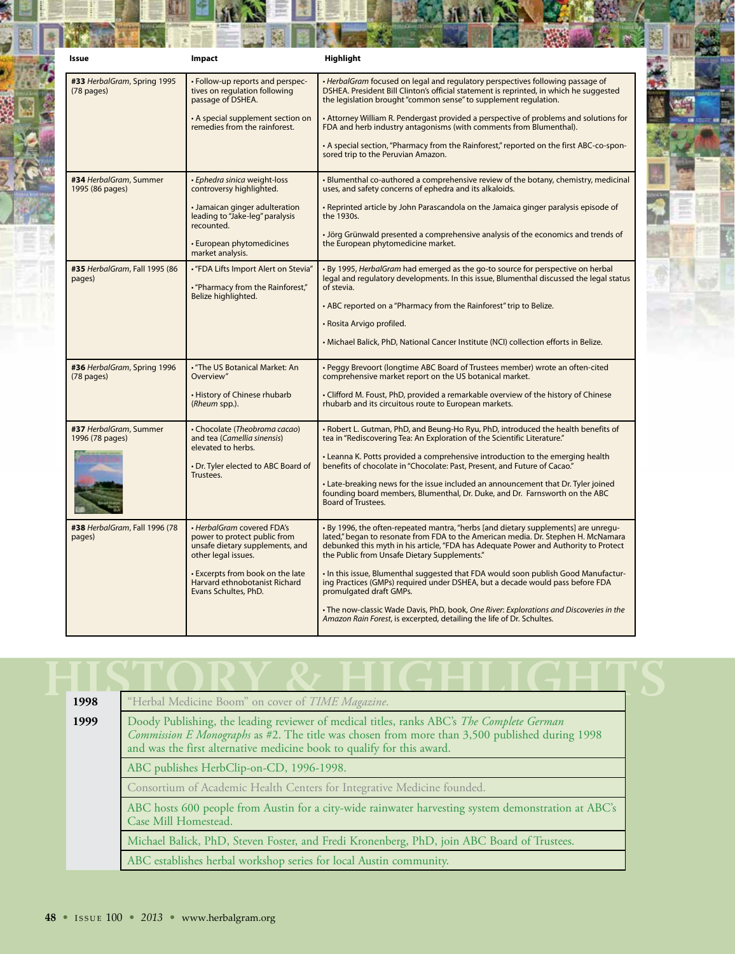| Issue                                               | Impact                                                                                                               | Highlight                                                                                                                                                                                                                                                                                                      |
|-----------------------------------------------------|----------------------------------------------------------------------------------------------------------------------|----------------------------------------------------------------------------------------------------------------------------------------------------------------------------------------------------------------------------------------------------------------------------------------------------------------|
| #33 HerbalGram, Spring 1995<br>$(78 \text{ pages})$ | · Follow-up reports and perspec-<br>tives on regulation following<br>passage of DSHEA.                               | · HerbalGram focused on legal and regulatory perspectives following passage of<br>DSHEA. President Bill Clinton's official statement is reprinted, in which he suggested<br>the legislation brought "common sense" to supplement regulation.                                                                   |
|                                                     | • A special supplement section on<br>remedies from the rainforest.                                                   | • Attorney William R. Pendergast provided a perspective of problems and solutions for<br>FDA and herb industry antagonisms (with comments from Blumenthal).                                                                                                                                                    |
|                                                     |                                                                                                                      | • A special section, "Pharmacy from the Rainforest," reported on the first ABC-co-spon-<br>sored trip to the Peruvian Amazon.                                                                                                                                                                                  |
| #34 HerbalGram, Summer<br>1995 (86 pages)           | · Ephedra sinica weight-loss<br>controversy highlighted.                                                             | • Blumenthal co-authored a comprehensive review of the botany, chemistry, medicinal<br>uses, and safety concerns of ephedra and its alkaloids.                                                                                                                                                                 |
|                                                     | • Jamaican ginger adulteration<br>leading to "Jake-leg" paralysis<br>recounted.                                      | . Reprinted article by John Parascandola on the Jamaica ginger paralysis episode of<br>the 1930s.                                                                                                                                                                                                              |
|                                                     | • European phytomedicines<br>market analysis.                                                                        | • Jörg Grünwald presented a comprehensive analysis of the economics and trends of<br>the European phytomedicine market.                                                                                                                                                                                        |
| #35 HerbalGram, Fall 1995 (86<br>pages)             | • "FDA Lifts Import Alert on Stevia"<br>• "Pharmacy from the Rainforest,"                                            | · By 1995, HerbalGram had emerged as the go-to source for perspective on herbal<br>legal and regulatory developments. In this issue, Blumenthal discussed the legal status<br>of stevia.                                                                                                                       |
|                                                     | Belize highlighted.                                                                                                  | . ABC reported on a "Pharmacy from the Rainforest" trip to Belize.                                                                                                                                                                                                                                             |
|                                                     |                                                                                                                      | · Rosita Arvigo profiled.                                                                                                                                                                                                                                                                                      |
|                                                     |                                                                                                                      | • Michael Balick, PhD, National Cancer Institute (NCI) collection efforts in Belize.                                                                                                                                                                                                                           |
| #36 HerbalGram, Spring 1996<br>(78 pages)           | . "The US Botanical Market: An<br>Overview"                                                                          | • Peggy Brevoort (longtime ABC Board of Trustees member) wrote an often-cited<br>comprehensive market report on the US botanical market.                                                                                                                                                                       |
|                                                     | • History of Chinese rhubarb<br>(Rheum spp.).                                                                        | • Clifford M. Foust, PhD, provided a remarkable overview of the history of Chinese<br>rhubarb and its circuitous route to European markets.                                                                                                                                                                    |
| #37 HerbalGram, Summer<br>1996 (78 pages)           | • Chocolate (Theobroma cacao)<br>and tea (Camellia sinensis)<br>elevated to herbs.                                   | • Robert L. Gutman, PhD, and Beung-Ho Ryu, PhD, introduced the health benefits of<br>tea in "Rediscovering Tea: An Exploration of the Scientific Literature."                                                                                                                                                  |
|                                                     | • Dr. Tyler elected to ABC Board of<br>Trustees.                                                                     | • Leanna K. Potts provided a comprehensive introduction to the emerging health<br>benefits of chocolate in "Chocolate: Past, Present, and Future of Cacao."                                                                                                                                                    |
|                                                     |                                                                                                                      | • Late-breaking news for the issue included an announcement that Dr. Tyler joined<br>founding board members, Blumenthal, Dr. Duke, and Dr. Farnsworth on the ABC<br>Board of Trustees.                                                                                                                         |
| #38 HerbalGram, Fall 1996 (78<br>pages)             | • HerbalGram covered FDA's<br>power to protect public from<br>unsafe dietary supplements, and<br>other legal issues. | • By 1996, the often-repeated mantra, "herbs [and dietary supplements] are unregu-<br>lated," began to resonate from FDA to the American media. Dr. Stephen H. McNamara<br>debunked this myth in his article, "FDA has Adequate Power and Authority to Protect<br>the Public from Unsafe Dietary Supplements." |
|                                                     | . Excerpts from book on the late<br>Harvard ethnobotanist Richard<br>Evans Schultes, PhD.                            | . In this issue, Blumenthal suggested that FDA would soon publish Good Manufactur-<br>ing Practices (GMPs) required under DSHEA, but a decade would pass before FDA<br>promulgated draft GMPs.                                                                                                                 |
|                                                     |                                                                                                                      | . The now-classic Wade Davis, PhD, book, One River: Explorations and Discoveries in the<br>Amazon Rain Forest, is excerpted, detailing the life of Dr. Schultes.                                                                                                                                               |

| 1998 | "Herbal Medicine Boom" on cover of TIME Magazine.                                                                                                                                                                                                                     |
|------|-----------------------------------------------------------------------------------------------------------------------------------------------------------------------------------------------------------------------------------------------------------------------|
| 1999 | Doody Publishing, the leading reviewer of medical titles, ranks ABC's The Complete German<br>Commission E Monographs as #2. The title was chosen from more than 3,500 published during 1998<br>and was the first alternative medicine book to qualify for this award. |
|      | ABC publishes HerbClip-on-CD, 1996-1998.                                                                                                                                                                                                                              |
|      | Consortium of Academic Health Centers for Integrative Medicine founded.                                                                                                                                                                                               |
|      | ABC hosts 600 people from Austin for a city-wide rainwater harvesting system demonstration at ABC's<br>Case Mill Homestead.                                                                                                                                           |
|      | Michael Balick, PhD, Steven Foster, and Fredi Kronenberg, PhD, join ABC Board of Trustees.                                                                                                                                                                            |
|      | ABC establishes herbal workshop series for local Austin community.                                                                                                                                                                                                    |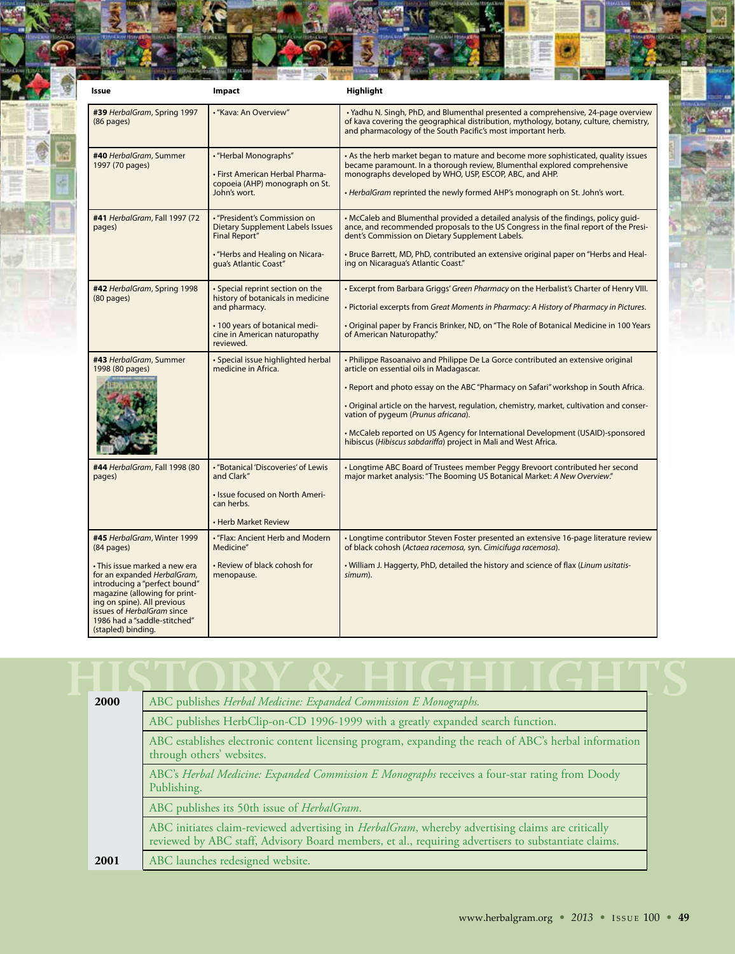| Issue                                                                                                                                                                                                                                             | Impact                                                                                                     | Highlight                                                                                                                                                                                                                                                                                                |
|---------------------------------------------------------------------------------------------------------------------------------------------------------------------------------------------------------------------------------------------------|------------------------------------------------------------------------------------------------------------|----------------------------------------------------------------------------------------------------------------------------------------------------------------------------------------------------------------------------------------------------------------------------------------------------------|
| #39 HerbalGram, Spring 1997<br>(86 pages)                                                                                                                                                                                                         | • "Kava: An Overview"                                                                                      | • Yadhu N. Singh, PhD, and Blumenthal presented a comprehensive, 24-page overview<br>of kava covering the geographical distribution, mythology, botany, culture, chemistry,<br>and pharmacology of the South Pacific's most important herb.                                                              |
| #40 HerbalGram, Summer<br>1997 (70 pages)                                                                                                                                                                                                         | • "Herbal Monographs"<br>• First American Herbal Pharma-<br>copoeia (AHP) monograph on St.<br>John's wort. | • As the herb market began to mature and become more sophisticated, quality issues<br>became paramount. In a thorough review, Blumenthal explored comprehensive<br>monographs developed by WHO, USP, ESCOP, ABC, and AHP.<br>• HerbalGram reprinted the newly formed AHP's monograph on St. John's wort. |
| #41 HerbalGram, Fall 1997 (72<br>pages)                                                                                                                                                                                                           | • "President's Commission on<br><b>Dietary Supplement Labels Issues</b><br><b>Final Report"</b>            | • McCaleb and Blumenthal provided a detailed analysis of the findings, policy guid-<br>ance, and recommended proposals to the US Congress in the final report of the Presi-<br>dent's Commission on Dietary Supplement Labels.                                                                           |
|                                                                                                                                                                                                                                                   | • "Herbs and Healing on Nicara-<br>qua's Atlantic Coast"                                                   | . Bruce Barrett, MD, PhD, contributed an extensive original paper on "Herbs and Heal-<br>ing on Nicaragua's Atlantic Coast."                                                                                                                                                                             |
| #42 HerbalGram, Spring 1998<br>(80 pages)                                                                                                                                                                                                         | • Special reprint section on the<br>history of botanicals in medicine                                      | . Excerpt from Barbara Griggs' Green Pharmacy on the Herbalist's Charter of Henry VIII.                                                                                                                                                                                                                  |
|                                                                                                                                                                                                                                                   | and pharmacy.                                                                                              | · Pictorial excerpts from Great Moments in Pharmacy: A History of Pharmacy in Pictures.                                                                                                                                                                                                                  |
|                                                                                                                                                                                                                                                   | • 100 years of botanical medi-<br>cine in American naturopathy<br>reviewed.                                | . Original paper by Francis Brinker, ND, on "The Role of Botanical Medicine in 100 Years<br>of American Naturopathy."                                                                                                                                                                                    |
| #43 HerbalGram, Summer<br>1998 (80 pages)                                                                                                                                                                                                         | · Special issue highlighted herbal<br>medicine in Africa.                                                  | • Philippe Rasoanaivo and Philippe De La Gorce contributed an extensive original<br>article on essential oils in Madagascar.                                                                                                                                                                             |
|                                                                                                                                                                                                                                                   |                                                                                                            | • Report and photo essay on the ABC "Pharmacy on Safari" workshop in South Africa.                                                                                                                                                                                                                       |
|                                                                                                                                                                                                                                                   |                                                                                                            | • Original article on the harvest, regulation, chemistry, market, cultivation and conser-<br>vation of pygeum (Prunus africana).                                                                                                                                                                         |
|                                                                                                                                                                                                                                                   |                                                                                                            | • McCaleb reported on US Agency for International Development (USAID)-sponsored<br>hibiscus (Hibiscus sabdariffa) project in Mali and West Africa.                                                                                                                                                       |
| #44 HerbalGram, Fall 1998 (80<br>pages)                                                                                                                                                                                                           | • "Botanical 'Discoveries' of Lewis<br>and Clark"                                                          | • Longtime ABC Board of Trustees member Peggy Brevoort contributed her second<br>major market analysis: "The Booming US Botanical Market: A New Overview."                                                                                                                                               |
|                                                                                                                                                                                                                                                   | · Issue focused on North Ameri-<br>can herbs.                                                              |                                                                                                                                                                                                                                                                                                          |
|                                                                                                                                                                                                                                                   | • Herb Market Review                                                                                       |                                                                                                                                                                                                                                                                                                          |
| #45 HerbalGram, Winter 1999<br>(84 pages)                                                                                                                                                                                                         | . "Flax: Ancient Herb and Modern<br>Medicine"                                                              | • Longtime contributor Steven Foster presented an extensive 16-page literature review<br>of black cohosh (Actaea racemosa, syn. Cimicifuga racemosa).                                                                                                                                                    |
| • This issue marked a new era<br>for an expanded HerbalGram,<br>introducing a "perfect bound"<br>magazine (allowing for print-<br>ing on spine). All previous<br>issues of HerbalGram since<br>1986 had a "saddle-stitched"<br>(stapled) binding. | • Review of black cohosh for<br>menopause.                                                                 | . William J. Haggerty, PhD, detailed the history and science of flax (Linum usitatis-<br>simum).                                                                                                                                                                                                         |

| 2000 | ABC publishes Herbal Medicine: Expanded Commission E Monographs.                                                                                                                                                  |  |
|------|-------------------------------------------------------------------------------------------------------------------------------------------------------------------------------------------------------------------|--|
|      | ABC publishes HerbClip-on-CD 1996-1999 with a greatly expanded search function.                                                                                                                                   |  |
|      | ABC establishes electronic content licensing program, expanding the reach of ABC's herbal information<br>through others' websites.                                                                                |  |
|      | ABC's Herbal Medicine: Expanded Commission E Monographs receives a four-star rating from Doody<br>Publishing.                                                                                                     |  |
|      | ABC publishes its 50th issue of <i>HerbalGram</i> .                                                                                                                                                               |  |
|      | ABC initiates claim-reviewed advertising in <i>HerbalGram</i> , whereby advertising claims are critically<br>reviewed by ABC staff, Advisory Board members, et al., requiring advertisers to substantiate claims. |  |
| 2001 | ABC launches redesigned website.                                                                                                                                                                                  |  |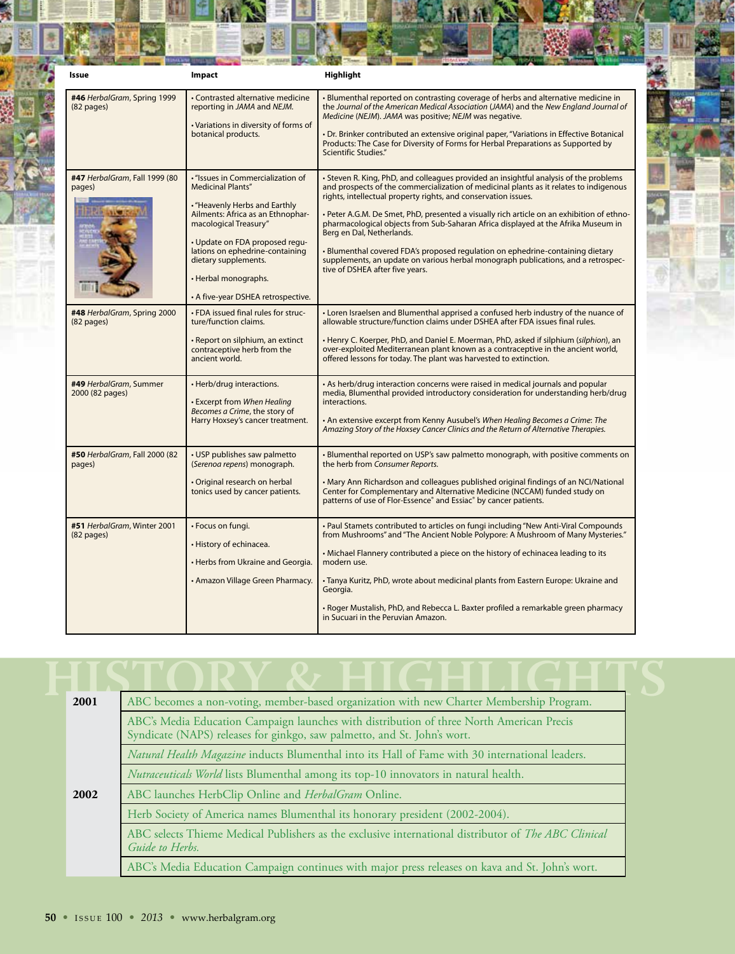| Issue                                       | Impact                                                                                                                                                                                                                                                                                                                  | <b>Highlight</b>                                                                                                                                                                                                                                                                                                                                                                                                                                                                                                                                                                                                                                                           |
|---------------------------------------------|-------------------------------------------------------------------------------------------------------------------------------------------------------------------------------------------------------------------------------------------------------------------------------------------------------------------------|----------------------------------------------------------------------------------------------------------------------------------------------------------------------------------------------------------------------------------------------------------------------------------------------------------------------------------------------------------------------------------------------------------------------------------------------------------------------------------------------------------------------------------------------------------------------------------------------------------------------------------------------------------------------------|
| #46 HerbalGram, Spring 1999<br>$(82$ pages) | • Contrasted alternative medicine<br>reporting in JAMA and NEJM.<br>· Variations in diversity of forms of<br>botanical products.                                                                                                                                                                                        | • Blumenthal reported on contrasting coverage of herbs and alternative medicine in<br>the Journal of the American Medical Association (JAMA) and the New England Journal of<br>Medicine (NEJM). JAMA was positive; NEJM was negative.<br>• Dr. Brinker contributed an extensive original paper, "Variations in Effective Botanical<br>Products: The Case for Diversity of Forms for Herbal Preparations as Supported by<br>Scientific Studies."                                                                                                                                                                                                                            |
| #47 HerbalGram, Fall 1999 (80<br>pages)     | · "Issues in Commercialization of<br><b>Medicinal Plants"</b><br>. "Heavenly Herbs and Earthly<br>Ailments: Africa as an Ethnophar-<br>macological Treasury"<br>• Update on FDA proposed regu-<br>lations on ephedrine-containing<br>dietary supplements.<br>• Herbal monographs.<br>• A five-year DSHEA retrospective. | • Steven R. King, PhD, and colleagues provided an insightful analysis of the problems<br>and prospects of the commercialization of medicinal plants as it relates to indigenous<br>rights, intellectual property rights, and conservation issues.<br>. Peter A.G.M. De Smet, PhD, presented a visually rich article on an exhibition of ethno-<br>pharmacological objects from Sub-Saharan Africa displayed at the Afrika Museum in<br>Berg en Dal, Netherlands.<br>• Blumenthal covered FDA's proposed regulation on ephedrine-containing dietary<br>supplements, an update on various herbal monograph publications, and a retrospec-<br>tive of DSHEA after five years. |
| #48 HerbalGram, Spring 2000<br>$(82$ pages) | . FDA issued final rules for struc-<br>ture/function claims.<br>• Report on silphium, an extinct<br>contraceptive herb from the<br>ancient world.                                                                                                                                                                       | • Loren Israelsen and Blumenthal apprised a confused herb industry of the nuance of<br>allowable structure/function claims under DSHEA after FDA issues final rules.<br>• Henry C. Koerper, PhD, and Daniel E. Moerman, PhD, asked if silphium (silphion), an<br>over-exploited Mediterranean plant known as a contraceptive in the ancient world,<br>offered lessons for today. The plant was harvested to extinction.                                                                                                                                                                                                                                                    |
| #49 HerbalGram, Summer<br>2000 (82 pages)   | • Herb/drug interactions.<br><b>Excerpt from When Healing</b><br>Becomes a Crime, the story of<br>Harry Hoxsey's cancer treatment.                                                                                                                                                                                      | . As herb/drug interaction concerns were raised in medical journals and popular<br>media, Blumenthal provided introductory consideration for understanding herb/drug<br>interactions.<br>• An extensive excerpt from Kenny Ausubel's When Healing Becomes a Crime: The<br>Amazing Story of the Hoxsey Cancer Clinics and the Return of Alternative Therapies.                                                                                                                                                                                                                                                                                                              |
| #50 HerbalGram, Fall 2000 (82<br>pages)     | • USP publishes saw palmetto<br>(Serenoa repens) monograph.<br>· Original research on herbal<br>tonics used by cancer patients.                                                                                                                                                                                         | • Blumenthal reported on USP's saw palmetto monograph, with positive comments on<br>the herb from Consumer Reports.<br>• Mary Ann Richardson and colleagues published original findings of an NCI/National<br>Center for Complementary and Alternative Medicine (NCCAM) funded study on<br>patterns of use of Flor-Essence <sup>®</sup> and Essiac <sup>®</sup> by cancer patients.                                                                                                                                                                                                                                                                                        |
| #51 HerbalGram, Winter 2001<br>$(82$ pages) | • Focus on fungi.<br>· History of echinacea.<br>• Herbs from Ukraine and Georgia.<br>• Amazon Village Green Pharmacy.                                                                                                                                                                                                   | • Paul Stamets contributed to articles on fungi including "New Anti-Viral Compounds"<br>from Mushrooms" and "The Ancient Noble Polypore: A Mushroom of Many Mysteries."<br>. Michael Flannery contributed a piece on the history of echinacea leading to its<br>modern use.<br>• Tanya Kuritz, PhD, wrote about medicinal plants from Eastern Europe: Ukraine and<br>Georgia.<br>• Roger Mustalish, PhD, and Rebecca L. Baxter profiled a remarkable green pharmacy<br>in Sucuari in the Peruvian Amazon.                                                                                                                                                                  |

| 2001 | ABC becomes a non-voting, member-based organization with new Charter Membership Program.                                                                             |
|------|----------------------------------------------------------------------------------------------------------------------------------------------------------------------|
|      | ABC's Media Education Campaign launches with distribution of three North American Precis<br>Syndicate (NAPS) releases for ginkgo, saw palmetto, and St. John's wort. |
|      | Natural Health Magazine inducts Blumenthal into its Hall of Fame with 30 international leaders.                                                                      |
|      | Nutraceuticals World lists Blumenthal among its top-10 innovators in natural health.                                                                                 |
| 2002 | ABC launches HerbClip Online and HerbalGram Online.                                                                                                                  |
|      | Herb Society of America names Blumenthal its honorary president (2002-2004).                                                                                         |
|      | ABC selects Thieme Medical Publishers as the exclusive international distributor of The ABC Clinical<br>Guide to Herbs.                                              |
|      | ABC's Media Education Campaign continues with major press releases on kava and St. John's wort.                                                                      |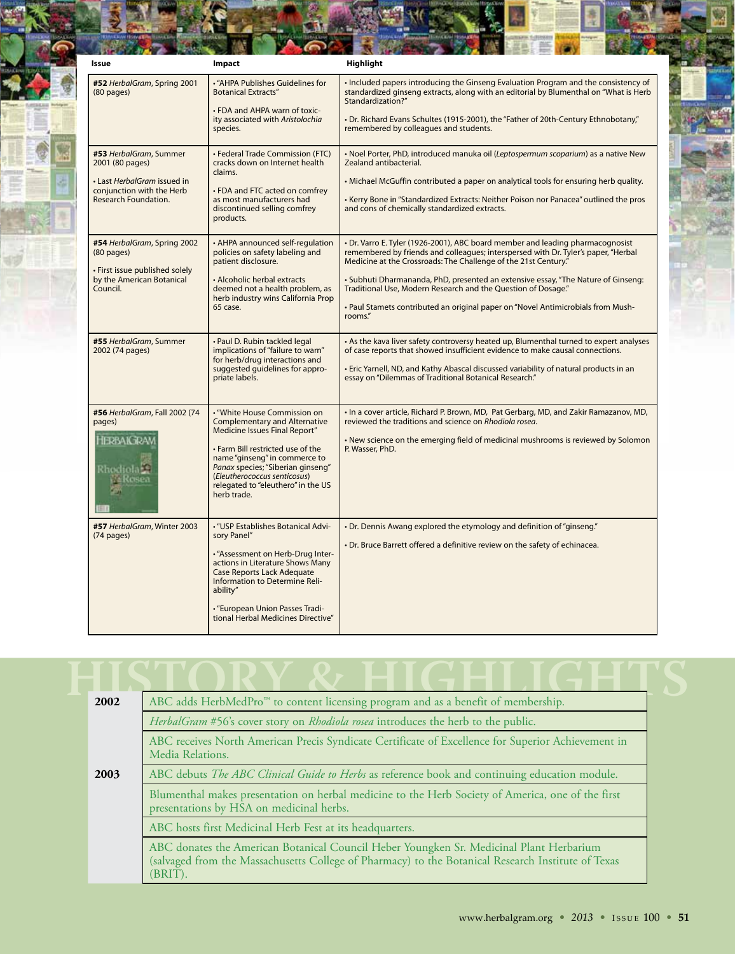| Issue                                                                                                                         | Impact                                                                                                                                                                                                                                                                                                | <b>Highlight</b>                                                                                                                                                                                                                                                                                                                                                                                                                                                                             |
|-------------------------------------------------------------------------------------------------------------------------------|-------------------------------------------------------------------------------------------------------------------------------------------------------------------------------------------------------------------------------------------------------------------------------------------------------|----------------------------------------------------------------------------------------------------------------------------------------------------------------------------------------------------------------------------------------------------------------------------------------------------------------------------------------------------------------------------------------------------------------------------------------------------------------------------------------------|
| #52 HerbalGram, Spring 2001<br>$(80 \text{ pages})$                                                                           | · "AHPA Publishes Guidelines for<br><b>Botanical Extracts"</b><br>. FDA and AHPA warn of toxic-<br>ity associated with Aristolochia<br>species.                                                                                                                                                       | • Included papers introducing the Ginseng Evaluation Program and the consistency of<br>standardized ginseng extracts, along with an editorial by Blumenthal on "What is Herb<br>Standardization?"<br>• Dr. Richard Evans Schultes (1915-2001), the "Father of 20th-Century Ethnobotany,"<br>remembered by colleagues and students.                                                                                                                                                           |
| #53 HerbalGram, Summer<br>2001 (80 pages)<br>• Last HerbalGram issued in<br>conjunction with the Herb<br>Research Foundation. | · Federal Trade Commission (FTC)<br>cracks down on Internet health<br>claims.<br>• FDA and FTC acted on comfrev<br>as most manufacturers had<br>discontinued selling comfrey<br>products.                                                                                                             | . Noel Porter, PhD, introduced manuka oil (Leptospermum scoparium) as a native New<br>Zealand antibacterial.<br>. Michael McGuffin contributed a paper on analytical tools for ensuring herb quality.<br>. Kerry Bone in "Standardized Extracts: Neither Poison nor Panacea" outlined the pros<br>and cons of chemically standardized extracts.                                                                                                                                              |
| #54 HerbalGram, Spring 2002<br>$(80$ pages)<br>· First issue published solely<br>by the American Botanical<br>Council.        | • AHPA announced self-regulation<br>policies on safety labeling and<br>patient disclosure.<br>• Alcoholic herbal extracts<br>deemed not a health problem, as<br>herb industry wins California Prop<br>65 case.                                                                                        | • Dr. Varro E. Tyler (1926-2001), ABC board member and leading pharmacognosist<br>remembered by friends and colleagues; interspersed with Dr. Tyler's paper, "Herbal<br>Medicine at the Crossroads: The Challenge of the 21st Century."<br>· Subhuti Dharmananda, PhD, presented an extensive essay, "The Nature of Ginseng:<br>Traditional Use, Modern Research and the Question of Dosage."<br>. Paul Stamets contributed an original paper on "Novel Antimicrobials from Mush-<br>rooms." |
| #55 HerbalGram, Summer<br>2002 (74 pages)                                                                                     | · Paul D. Rubin tackled legal<br>implications of "failure to warn"<br>for herb/drug interactions and<br>suggested guidelines for appro-<br>priate labels.                                                                                                                                             | • As the kava liver safety controversy heated up, Blumenthal turned to expert analyses<br>of case reports that showed insufficient evidence to make causal connections.<br>• Eric Yarnell, ND, and Kathy Abascal discussed variability of natural products in an<br>essay on "Dilemmas of Traditional Botanical Research."                                                                                                                                                                   |
| #56 HerbalGram, Fall 2002 (74<br>pages)<br>HERBAIGRAN<br>Rhodiola<br>i≓Kesea                                                  | . "White House Commission on<br><b>Complementary and Alternative</b><br>Medicine Issues Final Report"<br>. Farm Bill restricted use of the<br>name "ginseng" in commerce to<br>Panax species; "Siberian ginseng"<br>(Eleutherococcus senticosus)<br>relegated to "eleuthero" in the US<br>herb trade. | . In a cover article, Richard P. Brown, MD, Pat Gerbarg, MD, and Zakir Ramazanov, MD,<br>reviewed the traditions and science on Rhodiola rosea.<br>. New science on the emerging field of medicinal mushrooms is reviewed by Solomon<br>P. Wasser, PhD.                                                                                                                                                                                                                                      |
| #57 HerbalGram, Winter 2003<br>(74 pages)                                                                                     | • "USP Establishes Botanical Advi-<br>sory Panel"<br>- "Assessment on Herb-Drug Inter-<br>actions in Literature Shows Many<br>Case Reports Lack Adequate<br>Information to Determine Reli-<br>ability"<br>• "European Union Passes Tradi-<br>tional Herbal Medicines Directive"                       | . Dr. Dennis Awang explored the etymology and definition of "ginseng."<br>• Dr. Bruce Barrett offered a definitive review on the safety of echinacea.                                                                                                                                                                                                                                                                                                                                        |

| 2002 | ABC adds HerbMedPro <sup>™</sup> to content licensing program and as a benefit of membership.                                                                                                            |
|------|----------------------------------------------------------------------------------------------------------------------------------------------------------------------------------------------------------|
|      | HerbalGram #56's cover story on Rhodiola rosea introduces the herb to the public.                                                                                                                        |
|      | ABC receives North American Precis Syndicate Certificate of Excellence for Superior Achievement in<br>Media Relations.                                                                                   |
| 2003 | ABC debuts The ABC Clinical Guide to Herbs as reference book and continuing education module.                                                                                                            |
|      | Blumenthal makes presentation on herbal medicine to the Herb Society of America, one of the first<br>presentations by HSA on medicinal herbs.                                                            |
|      | ABC hosts first Medicinal Herb Fest at its headquarters.                                                                                                                                                 |
|      | ABC donates the American Botanical Council Heber Youngken Sr. Medicinal Plant Herbarium<br>(salvaged from the Massachusetts College of Pharmacy) to the Botanical Research Institute of Texas<br>(BRIT). |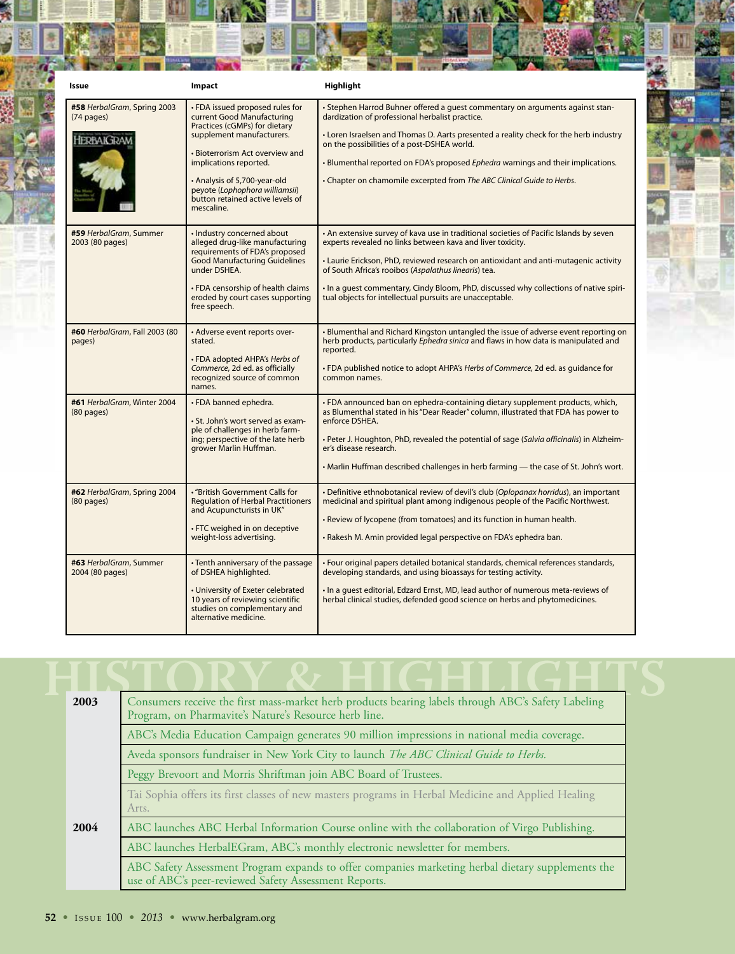| Issue                                                             | Impact                                                                                                                                                                                                                                                                                                       | Highlight                                                                                                                                                                                                                                                                                                                                                                                                                                                 |
|-------------------------------------------------------------------|--------------------------------------------------------------------------------------------------------------------------------------------------------------------------------------------------------------------------------------------------------------------------------------------------------------|-----------------------------------------------------------------------------------------------------------------------------------------------------------------------------------------------------------------------------------------------------------------------------------------------------------------------------------------------------------------------------------------------------------------------------------------------------------|
| #58 HerbalGram, Spring 2003<br>$(74 \text{ pages})$<br>HERBAIGRAM | • FDA issued proposed rules for<br>current Good Manufacturing<br>Practices (cGMPs) for dietary<br>supplement manufacturers.<br>• Bioterrorism Act overview and<br>implications reported.<br>• Analysis of 5,700-year-old<br>peyote (Lophophora williamsii)<br>button retained active levels of<br>mescaline. | . Stephen Harrod Buhner offered a quest commentary on arguments against stan-<br>dardization of professional herbalist practice.<br>• Loren Israelsen and Thomas D. Aarts presented a reality check for the herb industry<br>on the possibilities of a post-DSHEA world.<br>. Blumenthal reported on FDA's proposed Ephedra warnings and their implications.<br>• Chapter on chamomile excerpted from The ABC Clinical Guide to Herbs.                    |
| #59 HerbalGram, Summer<br>2003 (80 pages)                         | · Industry concerned about<br>alleged drug-like manufacturing<br>requirements of FDA's proposed<br><b>Good Manufacturing Guidelines</b><br>under DSHEA.<br>• FDA censorship of health claims<br>eroded by court cases supporting<br>free speech.                                                             | . An extensive survey of kava use in traditional societies of Pacific Islands by seven<br>experts revealed no links between kava and liver toxicity.<br>• Laurie Erickson, PhD, reviewed research on antioxidant and anti-mutagenic activity<br>of South Africa's rooibos (Aspalathus linearis) tea.<br>. In a quest commentary, Cindy Bloom, PhD, discussed why collections of native spiri-<br>tual objects for intellectual pursuits are unacceptable. |
| #60 HerbalGram, Fall 2003 (80<br>pages)                           | • Adverse event reports over-<br>stated.<br>• FDA adopted AHPA's Herbs of<br>Commerce, 2d ed. as officially<br>recognized source of common<br>names.                                                                                                                                                         | • Blumenthal and Richard Kingston untangled the issue of adverse event reporting on<br>herb products, particularly Ephedra sinica and flaws in how data is manipulated and<br>reported.<br>• FDA published notice to adopt AHPA's Herbs of Commerce, 2d ed. as quidance for<br>common names.                                                                                                                                                              |
| #61 HerbalGram, Winter 2004<br>$(80$ pages)                       | • FDA banned ephedra.<br>· St. John's wort served as exam-<br>ple of challenges in herb farm-<br>ing; perspective of the late herb<br>grower Marlin Huffman.                                                                                                                                                 | . FDA announced ban on ephedra-containing dietary supplement products, which,<br>as Blumenthal stated in his "Dear Reader" column, illustrated that FDA has power to<br>enforce DSHEA.<br>- Peter J. Houghton, PhD, revealed the potential of sage (Salvia officinalis) in Alzheim-<br>er's disease research.<br>• Marlin Huffman described challenges in herb farming — the case of St. John's wort.                                                     |
| #62 HerbalGram, Spring 2004<br>$(80$ pages)                       | • "British Government Calls for<br><b>Regulation of Herbal Practitioners</b><br>and Acupuncturists in UK"<br>• FTC weighed in on deceptive<br>weight-loss advertising.                                                                                                                                       | • Definitive ethnobotanical review of devil's club (Oplopanax horridus), an important<br>medicinal and spiritual plant among indigenous people of the Pacific Northwest.<br>• Review of lycopene (from tomatoes) and its function in human health.<br>. Rakesh M. Amin provided legal perspective on FDA's ephedra ban.                                                                                                                                   |
| #63 HerbalGram, Summer<br>2004 (80 pages)                         | • Tenth anniversary of the passage<br>of DSHEA highlighted.<br>• University of Exeter celebrated<br>10 years of reviewing scientific<br>studies on complementary and<br>alternative medicine.                                                                                                                | · Four original papers detailed botanical standards, chemical references standards,<br>developing standards, and using bioassays for testing activity.<br>. In a quest editorial, Edzard Ernst, MD, lead author of numerous meta-reviews of<br>herbal clinical studies, defended good science on herbs and phytomedicines.                                                                                                                                |

| 2003 | Consumers receive the first mass-market herb products bearing labels through ABC's Safety Labeling<br>Program, on Pharmavite's Nature's Resource herb line. |
|------|-------------------------------------------------------------------------------------------------------------------------------------------------------------|
|      | ABC's Media Education Campaign generates 90 million impressions in national media coverage.                                                                 |
|      | Aveda sponsors fundraiser in New York City to launch The ABC Clinical Guide to Herbs.                                                                       |
|      | Peggy Brevoort and Morris Shriftman join ABC Board of Trustees.                                                                                             |
|      | Tai Sophia offers its first classes of new masters programs in Herbal Medicine and Applied Healing<br>Arts.                                                 |
| 2004 | ABC launches ABC Herbal Information Course online with the collaboration of Virgo Publishing.                                                               |
|      | ABC launches HerbalEGram, ABC's monthly electronic newsletter for members.                                                                                  |
|      | ABC Safety Assessment Program expands to offer companies marketing herbal dietary supplements the<br>use of ABC's peer-reviewed Safety Assessment Reports.  |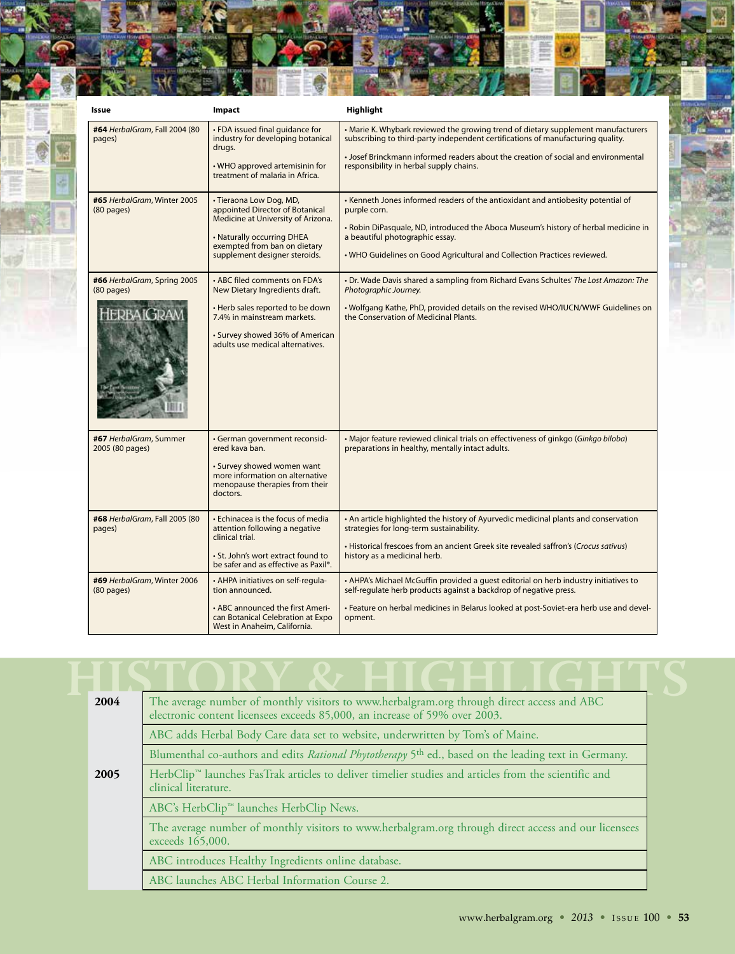| Issue                                       | Impact                                                                                                                                                                                                    | Highlight                                                                                                                                                                                                                                                                                              |
|---------------------------------------------|-----------------------------------------------------------------------------------------------------------------------------------------------------------------------------------------------------------|--------------------------------------------------------------------------------------------------------------------------------------------------------------------------------------------------------------------------------------------------------------------------------------------------------|
| #64 HerbalGram, Fall 2004 (80<br>pages)     | · FDA issued final guidance for<br>industry for developing botanical<br>drugs.<br>. WHO approved artemisinin for<br>treatment of malaria in Africa.                                                       | • Marie K. Whybark reviewed the growing trend of dietary supplement manufacturers<br>subscribing to third-party independent certifications of manufacturing quality.<br>• Josef Brinckmann informed readers about the creation of social and environmental<br>responsibility in herbal supply chains.  |
| #65 HerbalGram, Winter 2005<br>$(80$ pages) | · Tieraona Low Dog, MD,<br>appointed Director of Botanical<br>Medicine at University of Arizona.<br>• Naturally occurring DHEA<br>exempted from ban on dietary<br>supplement designer steroids.           | • Kenneth Jones informed readers of the antioxidant and antiobesity potential of<br>purple corn.<br>• Robin DiPasquale, ND, introduced the Aboca Museum's history of herbal medicine in<br>a beautiful photographic essay.<br>• WHO Guidelines on Good Agricultural and Collection Practices reviewed. |
| #66 HerbalGram, Spring 2005<br>$(80$ pages) | • ABC filed comments on FDA's<br>New Dietary Ingredients draft.<br>• Herb sales reported to be down<br>7.4% in mainstream markets.<br>• Survey showed 36% of American<br>adults use medical alternatives. | . Dr. Wade Davis shared a sampling from Richard Evans Schultes' The Lost Amazon: The<br>Photographic Journey.<br>. Wolfgang Kathe, PhD, provided details on the revised WHO/IUCN/WWF Guidelines on<br>the Conservation of Medicinal Plants.                                                            |
| #67 HerbalGram, Summer<br>2005 (80 pages)   | · German government reconsid-<br>ered kava ban.<br>· Survey showed women want<br>more information on alternative<br>menopause therapies from their<br>doctors.                                            | • Major feature reviewed clinical trials on effectiveness of ginkgo (Ginkgo biloba)<br>preparations in healthy, mentally intact adults.                                                                                                                                                                |
| #68 HerbalGram, Fall 2005 (80<br>pages)     | • Echinacea is the focus of media<br>attention following a negative<br>clinical trial.<br>· St. John's wort extract found to<br>be safer and as effective as Paxil <sup>®</sup> .                         | • An article highlighted the history of Ayurvedic medicinal plants and conservation<br>strategies for long-term sustainability.<br>• Historical frescoes from an ancient Greek site revealed saffron's (Crocus sativus)<br>history as a medicinal herb.                                                |
| #69 HerbalGram, Winter 2006<br>$(80$ pages) | . AHPA initiatives on self-regula-<br>tion announced.<br>• ABC announced the first Ameri-<br>can Botanical Celebration at Expo<br>West in Anaheim, California.                                            | • AHPA's Michael McGuffin provided a guest editorial on herb industry initiatives to<br>self-regulate herb products against a backdrop of negative press.<br>- Feature on herbal medicines in Belarus looked at post-Soviet-era herb use and devel-<br>opment.                                         |

| 2004 | The average number of monthly visitors to www.herbalgram.org through direct access and ABC<br>electronic content licensees exceeds 85,000, an increase of 59% over 2003. |  |
|------|--------------------------------------------------------------------------------------------------------------------------------------------------------------------------|--|
|      | ABC adds Herbal Body Care data set to website, underwritten by Tom's of Maine.                                                                                           |  |
|      | Blumenthal co-authors and edits Rational Phytotherapy 5 <sup>th</sup> ed., based on the leading text in Germany.                                                         |  |
| 2005 | HerbClip™ launches FasTrak articles to deliver timelier studies and articles from the scientific and<br>clinical literature.                                             |  |
|      | ABC's HerbClip <sup>™</sup> launches HerbClip News.                                                                                                                      |  |
|      | The average number of monthly visitors to www.herbalgram.org through direct access and our licensees<br>exceeds 165,000.                                                 |  |
|      | ABC introduces Healthy Ingredients online database.                                                                                                                      |  |
|      | ABC launches ABC Herbal Information Course 2.                                                                                                                            |  |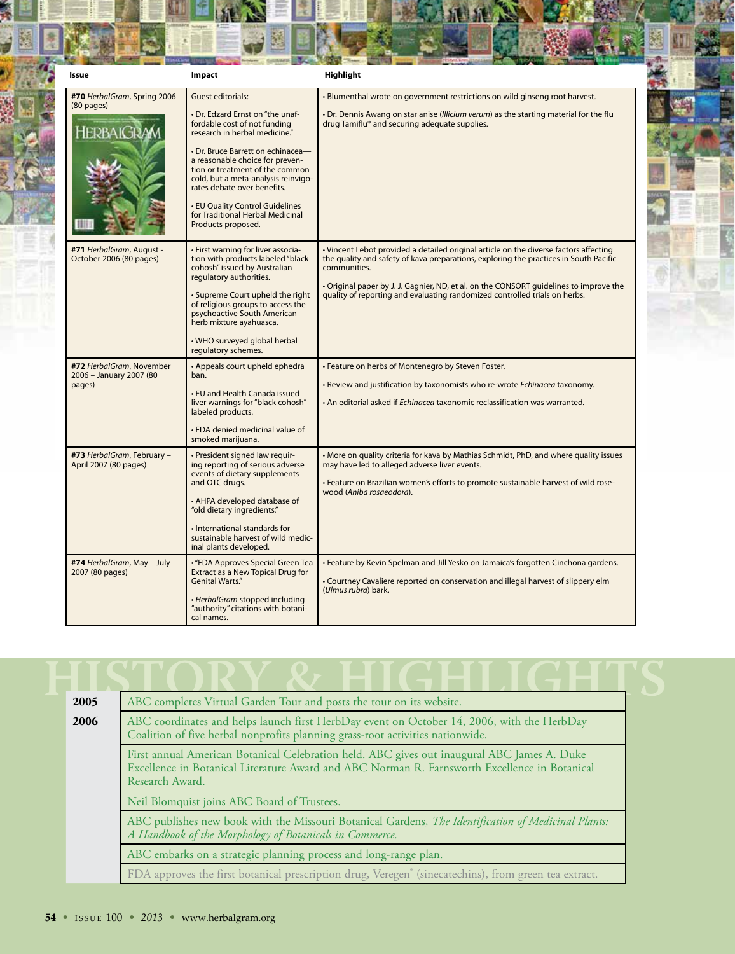| Issue                                                          | Impact                                                                                                                                                                                                                                                                                                                                                                                                      | Highlight                                                                                                                                                                                                                                                                                                                                                              |
|----------------------------------------------------------------|-------------------------------------------------------------------------------------------------------------------------------------------------------------------------------------------------------------------------------------------------------------------------------------------------------------------------------------------------------------------------------------------------------------|------------------------------------------------------------------------------------------------------------------------------------------------------------------------------------------------------------------------------------------------------------------------------------------------------------------------------------------------------------------------|
| #70 HerbalGram, Spring 2006<br>$(80$ pages)<br><b>HERBAIGI</b> | <b>Guest editorials:</b><br>• Dr. Edzard Ernst on "the unaf-<br>fordable cost of not funding<br>research in herbal medicine."<br>• Dr. Bruce Barrett on echinacea-<br>a reasonable choice for preven-<br>tion or treatment of the common<br>cold, but a meta-analysis reinvigo-<br>rates debate over benefits.<br>• EU Quality Control Guidelines<br>for Traditional Herbal Medicinal<br>Products proposed. | . Blumenthal wrote on government restrictions on wild ginseng root harvest.<br>. Dr. Dennis Awang on star anise (Illicium verum) as the starting material for the flu<br>drug Tamiflu® and securing adequate supplies.                                                                                                                                                 |
| #71 HerbalGram, August -<br>October 2006 (80 pages)            | • First warning for liver associa-<br>tion with products labeled "black<br>cohosh" issued by Australian<br>regulatory authorities.<br>• Supreme Court upheld the right<br>of religious groups to access the<br>psychoactive South American<br>herb mixture ayahuasca.<br>. WHO surveyed global herbal<br>regulatory schemes.                                                                                | • Vincent Lebot provided a detailed original article on the diverse factors affecting<br>the quality and safety of kava preparations, exploring the practices in South Pacific<br>communities.<br>• Original paper by J. J. Gagnier, ND, et al. on the CONSORT guidelines to improve the<br>quality of reporting and evaluating randomized controlled trials on herbs. |
| #72 HerbalGram, November<br>2006 - January 2007 (80<br>pages)  | • Appeals court upheld ephedra<br>ban.<br>• EU and Health Canada issued<br>liver warnings for "black cohosh"<br>labeled products.<br>• FDA denied medicinal value of<br>smoked marijuana.                                                                                                                                                                                                                   | • Feature on herbs of Montenegro by Steven Foster.<br>. Review and justification by taxonomists who re-wrote Echinacea taxonomy.<br>• An editorial asked if <i>Echingceg</i> taxonomic reclassification was warranted.                                                                                                                                                 |
| #73 HerbalGram, February -<br>April 2007 (80 pages)            | · President signed law requir-<br>ing reporting of serious adverse<br>events of dietary supplements<br>and OTC drugs.<br>• AHPA developed database of<br>"old dietary ingredients."<br>· International standards for<br>sustainable harvest of wild medic-<br>inal plants developed.                                                                                                                        | • More on quality criteria for kava by Mathias Schmidt, PhD, and where quality issues<br>may have led to alleged adverse liver events.<br>- Feature on Brazilian women's efforts to promote sustainable harvest of wild rose-<br>wood (Aniba rosaeodora).                                                                                                              |
| #74 HerbalGram, May - July<br>2007 (80 pages)                  | • "FDA Approves Special Green Tea<br>Extract as a New Topical Drug for<br><b>Genital Warts."</b><br>· HerbalGram stopped including<br>"authority" citations with botani-<br>cal names.                                                                                                                                                                                                                      | . Feature by Kevin Spelman and Jill Yesko on Jamaica's forgotten Cinchona gardens.<br>• Courtney Cavaliere reported on conservation and illegal harvest of slippery elm<br>(Ulmus rubra) bark.                                                                                                                                                                         |

86 Ħ

| 2005 | ABC completes Virtual Garden Tour and posts the tour on its website.                                                                                                                                            |
|------|-----------------------------------------------------------------------------------------------------------------------------------------------------------------------------------------------------------------|
| 2006 | ABC coordinates and helps launch first HerbDay event on October 14, 2006, with the HerbDay<br>Coalition of five herbal nonprofits planning grass-root activities nationwide.                                    |
|      | First annual American Botanical Celebration held. ABC gives out inaugural ABC James A. Duke<br>Excellence in Botanical Literature Award and ABC Norman R. Farnsworth Excellence in Botanical<br>Research Award. |
|      | Neil Blomquist joins ABC Board of Trustees.                                                                                                                                                                     |
|      | ABC publishes new book with the Missouri Botanical Gardens, The Identification of Medicinal Plants:<br>A Handbook of the Morphology of Botanicals in Commerce.                                                  |
|      | ABC embarks on a strategic planning process and long-range plan.                                                                                                                                                |
|      | FDA approves the first botanical prescription drug, Veregen <sup>®</sup> (sinecatechins), from green tea extract.                                                                                               |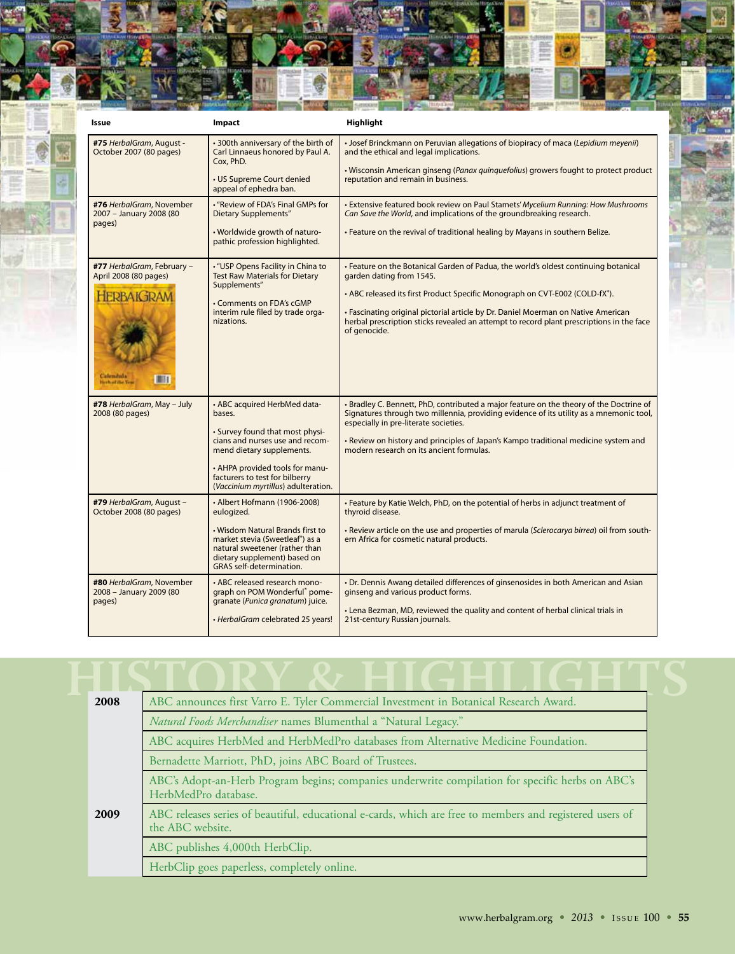| Issue                                                                                                                     | Impact                                                                                                                                                                                                                                                | Highlight                                                                                                                                                                                                                                                                                                                                                                                                    |
|---------------------------------------------------------------------------------------------------------------------------|-------------------------------------------------------------------------------------------------------------------------------------------------------------------------------------------------------------------------------------------------------|--------------------------------------------------------------------------------------------------------------------------------------------------------------------------------------------------------------------------------------------------------------------------------------------------------------------------------------------------------------------------------------------------------------|
| #75 HerbalGram, August -<br>October 2007 (80 pages)                                                                       | • 300th anniversary of the birth of<br>Carl Linnaeus honored by Paul A.<br>Cox. PhD.<br>• US Supreme Court denied<br>appeal of ephedra ban.                                                                                                           | • Josef Brinckmann on Peruvian allegations of biopiracy of maca (Lepidium meyenii)<br>and the ethical and legal implications.<br>. Wisconsin American ginseng (Panax guinguefolius) growers fought to protect product<br>reputation and remain in business.                                                                                                                                                  |
| #76 HerbalGram, November<br>2007 - January 2008 (80<br>pages)                                                             | . "Review of FDA's Final GMPs for<br><b>Dietary Supplements"</b><br>. Worldwide growth of naturo-<br>pathic profession highlighted.                                                                                                                   | • Extensive featured book review on Paul Stamets' Mycelium Running: How Mushrooms<br>Can Save the World, and implications of the groundbreaking research.<br>. Feature on the revival of traditional healing by Mayans in southern Belize.                                                                                                                                                                   |
| #77 HerbalGram, February -<br>April 2008 (80 pages)<br><b>IERBAIGRAM</b><br>Calendala<br>$\Box$<br><b>Herbart Be Year</b> | • "USP Opens Facility in China to<br><b>Test Raw Materials for Dietary</b><br>Supplements"<br>• Comments on FDA's cGMP<br>interim rule filed by trade orga-<br>nizations.                                                                             | • Feature on the Botanical Garden of Padua, the world's oldest continuing botanical<br>garden dating from 1545.<br>• ABC released its first Product Specific Monograph on CVT-E002 (COLD-fX <sup>®</sup> ).<br>• Fascinating original pictorial article by Dr. Daniel Moerman on Native American<br>herbal prescription sticks revealed an attempt to record plant prescriptions in the face<br>of genocide. |
| #78 HerbalGram, May - July<br>2008 (80 pages)                                                                             | • ABC acquired HerbMed data-<br>bases.<br>• Survey found that most physi-<br>cians and nurses use and recom-<br>mend dietary supplements.<br>• AHPA provided tools for manu-<br>facturers to test for bilberry<br>(Vaccinium myrtillus) adulteration. | • Bradley C. Bennett, PhD, contributed a major feature on the theory of the Doctrine of<br>Signatures through two millennia, providing evidence of its utility as a mnemonic tool,<br>especially in pre-literate societies.<br>• Review on history and principles of Japan's Kampo traditional medicine system and<br>modern research on its ancient formulas.                                               |
| #79 HerbalGram, August -<br>October 2008 (80 pages)                                                                       | • Albert Hofmann (1906-2008)<br>eulogized.<br>. Wisdom Natural Brands first to<br>market stevia (Sweetleaf <sup>®</sup> ) as a<br>natural sweetener (rather than<br>dietary supplement) based on<br><b>GRAS</b> self-determination.                   | . Feature by Katie Welch, PhD, on the potential of herbs in adjunct treatment of<br>thyroid disease.<br>. Review article on the use and properties of marula (Sclerocarya birrea) oil from south-<br>ern Africa for cosmetic natural products.                                                                                                                                                               |
| #80 HerbalGram, November<br>2008 - January 2009 (80<br>pages)                                                             | • ABC released research mono-<br>graph on POM Wonderful® pome-<br>granate (Punica granatum) juice.<br>· HerbalGram celebrated 25 years!                                                                                                               | • Dr. Dennis Awang detailed differences of ginsenosides in both American and Asian<br>ginseng and various product forms.<br>• Lena Bezman, MD, reviewed the quality and content of herbal clinical trials in<br>21st-century Russian journals.                                                                                                                                                               |

| 2008                            | ABC announces first Varro E. Tyler Commercial Investment in Botanical Research Award.                                        |  |  |
|---------------------------------|------------------------------------------------------------------------------------------------------------------------------|--|--|
|                                 | Natural Foods Merchandiser names Blumenthal a "Natural Legacy."                                                              |  |  |
|                                 | ABC acquires HerbMed and HerbMedPro databases from Alternative Medicine Foundation.                                          |  |  |
|                                 | Bernadette Marriott, PhD, joins ABC Board of Trustees.                                                                       |  |  |
|                                 | ABC's Adopt-an-Herb Program begins; companies underwrite compilation for specific herbs on ABC's<br>HerbMedPro database.     |  |  |
| 2009                            | ABC releases series of beautiful, educational e-cards, which are free to members and registered users of<br>the ABC website. |  |  |
| ABC publishes 4,000th HerbClip. |                                                                                                                              |  |  |
|                                 | HerbClip goes paperless, completely online.                                                                                  |  |  |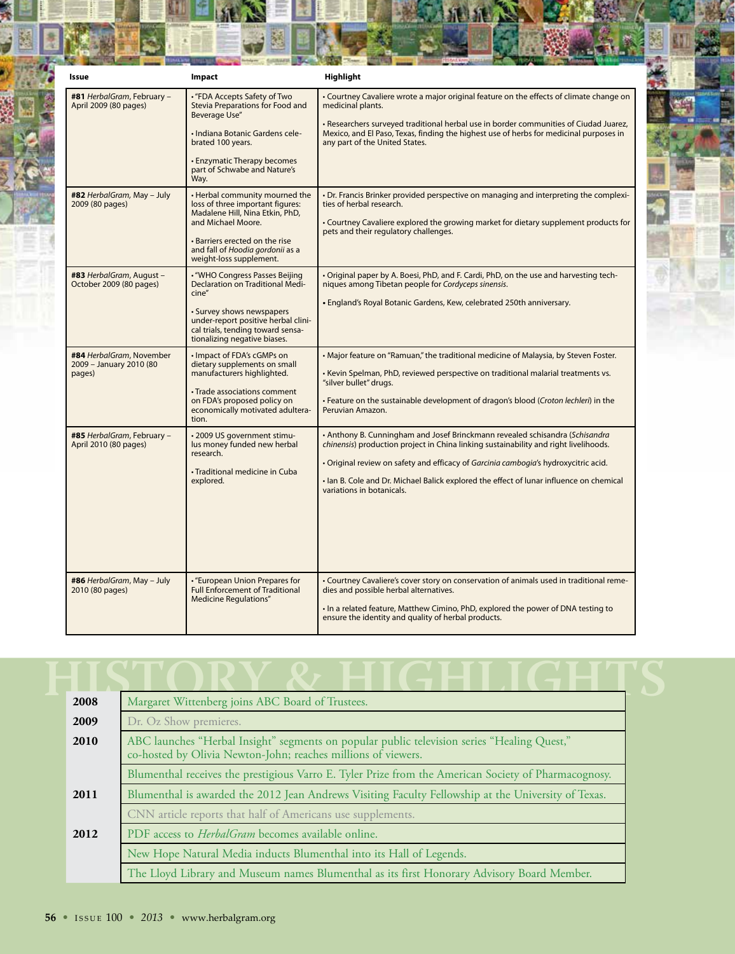| Issue                                                         | Impact                                                                                                                                                                                                                               | Highlight                                                                                                                                                                                                                                                                                                                                                                            |
|---------------------------------------------------------------|--------------------------------------------------------------------------------------------------------------------------------------------------------------------------------------------------------------------------------------|--------------------------------------------------------------------------------------------------------------------------------------------------------------------------------------------------------------------------------------------------------------------------------------------------------------------------------------------------------------------------------------|
| #81 HerbalGram, February -<br>April 2009 (80 pages)           | • "FDA Accepts Safety of Two<br>Stevia Preparations for Food and<br><b>Beverage Use"</b>                                                                                                                                             | • Courtney Cavaliere wrote a major original feature on the effects of climate change on<br>medicinal plants.                                                                                                                                                                                                                                                                         |
|                                                               | · Indiana Botanic Gardens cele-<br>brated 100 years.                                                                                                                                                                                 | . Researchers surveyed traditional herbal use in border communities of Ciudad Juarez,<br>Mexico, and El Paso, Texas, finding the highest use of herbs for medicinal purposes in<br>any part of the United States.                                                                                                                                                                    |
|                                                               | • Enzymatic Therapy becomes<br>part of Schwabe and Nature's<br>Way.                                                                                                                                                                  |                                                                                                                                                                                                                                                                                                                                                                                      |
| #82 HerbalGram, May - July<br>2009 (80 pages)                 | • Herbal community mourned the<br>loss of three important figures:<br>Madalene Hill, Nina Etkin, PhD,<br>and Michael Moore.<br>. Barriers erected on the rise<br>and fall of Hoodia gordonii as a<br>weight-loss supplement.         | • Dr. Francis Brinker provided perspective on managing and interpreting the complexi-<br>ties of herbal research.<br>• Courtney Cavaliere explored the growing market for dietary supplement products for<br>pets and their regulatory challenges.                                                                                                                                   |
| #83 HerbalGram, August -<br>October 2009 (80 pages)           | . "WHO Congress Passes Beijing<br><b>Declaration on Traditional Medi-</b><br>cine"<br>• Survey shows newspapers<br>under-report positive herbal clini-<br>cal trials, tending toward sensa-                                          | • Original paper by A. Boesi, PhD, and F. Cardi, PhD, on the use and harvesting tech-<br>niques among Tibetan people for Cordyceps sinensis.<br>• England's Royal Botanic Gardens, Kew, celebrated 250th anniversary.                                                                                                                                                                |
| #84 HerbalGram, November<br>2009 - January 2010 (80<br>pages) | tionalizing negative biases.<br>• Impact of FDA's cGMPs on<br>dietary supplements on small<br>manufacturers highlighted.<br>• Trade associations comment<br>on FDA's proposed policy on<br>economically motivated adultera-<br>tion. | . Major feature on "Ramuan," the traditional medicine of Malaysia, by Steven Foster.<br>• Kevin Spelman, PhD, reviewed perspective on traditional malarial treatments vs.<br>"silver bullet" drugs.<br>. Feature on the sustainable development of dragon's blood (Croton lechleri) in the<br>Peruvian Amazon.                                                                       |
| #85 HerbalGram, February -<br>April 2010 (80 pages)           | • 2009 US government stimu-<br>lus money funded new herbal<br>research.<br>• Traditional medicine in Cuba<br>explored.                                                                                                               | • Anthony B. Cunningham and Josef Brinckmann revealed schisandra (Schisandra)<br>chinensis) production project in China linking sustainability and right livelihoods.<br>. Original review on safety and efficacy of Garcinia cambogia's hydroxycitric acid.<br>. Ian B. Cole and Dr. Michael Balick explored the effect of lunar influence on chemical<br>variations in botanicals. |
| #86 HerbalGram, May - July<br>2010 (80 pages)                 | • "European Union Prepares for<br><b>Full Enforcement of Traditional</b><br><b>Medicine Requlations"</b>                                                                                                                             | • Courtney Cavaliere's cover story on conservation of animals used in traditional reme-<br>dies and possible herbal alternatives.<br>. In a related feature, Matthew Cimino, PhD, explored the power of DNA testing to<br>ensure the identity and quality of herbal products.                                                                                                        |

 $\overrightarrow{a}$ 越

| 2008 | Margaret Wittenberg joins ABC Board of Trustees.                                                                                                             |  |
|------|--------------------------------------------------------------------------------------------------------------------------------------------------------------|--|
| 2009 | Dr. Oz Show premieres.                                                                                                                                       |  |
| 2010 | ABC launches "Herbal Insight" segments on popular public television series "Healing Quest,"<br>co-hosted by Olivia Newton-John; reaches millions of viewers. |  |
|      | Blumenthal receives the prestigious Varro E. Tyler Prize from the American Society of Pharmacognosy.                                                         |  |
| 2011 | Blumenthal is awarded the 2012 Jean Andrews Visiting Faculty Fellowship at the University of Texas.                                                          |  |
|      | CNN article reports that half of Americans use supplements.                                                                                                  |  |
| 2012 | PDF access to <i>HerbalGram</i> becomes available online.                                                                                                    |  |
|      | New Hope Natural Media inducts Blumenthal into its Hall of Legends.                                                                                          |  |
|      | The Lloyd Library and Museum names Blumenthal as its first Honorary Advisory Board Member.                                                                   |  |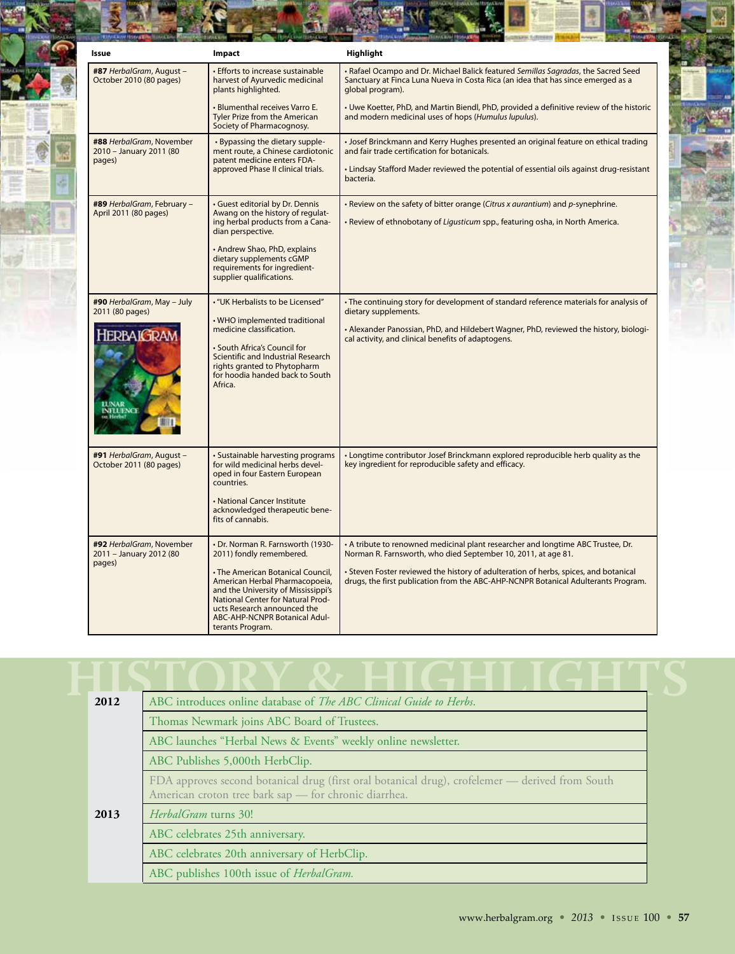| Issue                                                                                  | Impact                                                                                                                                                                                                                                                                                               | Highlight                                                                                                                                                                                                                                                                                                                       |
|----------------------------------------------------------------------------------------|------------------------------------------------------------------------------------------------------------------------------------------------------------------------------------------------------------------------------------------------------------------------------------------------------|---------------------------------------------------------------------------------------------------------------------------------------------------------------------------------------------------------------------------------------------------------------------------------------------------------------------------------|
| #87 HerbalGram, August -<br>October 2010 (80 pages)                                    | · Efforts to increase sustainable<br>harvest of Ayurvedic medicinal<br>plants highlighted.                                                                                                                                                                                                           | · Rafael Ocampo and Dr. Michael Balick featured Semillas Sagradas, the Sacred Seed<br>Sanctuary at Finca Luna Nueva in Costa Rica (an idea that has since emerged as a<br>global program).                                                                                                                                      |
|                                                                                        | • Blumenthal receives Varro E.<br>Tyler Prize from the American<br>Society of Pharmacognosy.                                                                                                                                                                                                         | • Uwe Koetter, PhD, and Martin Biendl, PhD, provided a definitive review of the historic<br>and modern medicinal uses of hops (Humulus lupulus).                                                                                                                                                                                |
| #88 HerbalGram, November<br>2010 - January 2011 (80<br>pages)                          | • Bypassing the dietary supple-<br>ment route, a Chinese cardiotonic<br>patent medicine enters FDA-<br>approved Phase II clinical trials.                                                                                                                                                            | · Josef Brinckmann and Kerry Hughes presented an original feature on ethical trading<br>and fair trade certification for botanicals.<br>• Lindsay Stafford Mader reviewed the potential of essential oils against drug-resistant<br>bacteria.                                                                                   |
| #89 HerbalGram, February -<br>April 2011 (80 pages)                                    | · Guest editorial by Dr. Dennis<br>Awang on the history of regulat-<br>ing herbal products from a Cana-<br>dian perspective.<br>• Andrew Shao, PhD, explains<br>dietary supplements cGMP<br>requirements for ingredient-<br>supplier qualifications.                                                 | • Review on the safety of bitter orange (Citrus x aurantium) and p-synephrine.<br>• Review of ethnobotany of Liqusticum spp., featuring osha, in North America.                                                                                                                                                                 |
| #90 HerbalGram, May - July<br>2011 (80 pages)<br><b>HERBAIGRAM</b><br><b>INFLUENCE</b> | • "UK Herbalists to be Licensed"<br>. WHO implemented traditional<br>medicine classification.<br>· South Africa's Council for<br>Scientific and Industrial Research<br>rights granted to Phytopharm<br>for hoodia handed back to South<br>Africa.                                                    | • The continuing story for development of standard reference materials for analysis of<br>dietary supplements.<br>• Alexander Panossian, PhD, and Hildebert Wagner, PhD, reviewed the history, biologi-<br>cal activity, and clinical benefits of adaptogens.                                                                   |
| #91 HerbalGram, August -<br>October 2011 (80 pages)                                    | · Sustainable harvesting programs<br>for wild medicinal herbs devel-<br>oped in four Eastern European<br>countries.<br>• National Cancer Institute<br>acknowledged therapeutic bene-<br>fits of cannabis.                                                                                            | • Longtime contributor Josef Brinckmann explored reproducible herb quality as the<br>key ingredient for reproducible safety and efficacy.                                                                                                                                                                                       |
| #92 HerbalGram, November<br>2011 - January 2012 (80<br>pages)                          | • Dr. Norman R. Farnsworth (1930-<br>2011) fondly remembered.<br>• The American Botanical Council,<br>American Herbal Pharmacopoeia,<br>and the University of Mississippi's<br>National Center for Natural Prod-<br>ucts Research announced the<br>ABC-AHP-NCNPR Botanical Adul-<br>terants Program. | • A tribute to renowned medicinal plant researcher and longtime ABC Trustee, Dr.<br>Norman R. Farnsworth, who died September 10, 2011, at age 81.<br>• Steven Foster reviewed the history of adulteration of herbs, spices, and botanical<br>drugs, the first publication from the ABC-AHP-NCNPR Botanical Adulterants Program. |

| 2012                             | ABC introduces online database of <i>The ABC Clinical Guide to Herbs</i> .                                                                               |  |  |
|----------------------------------|----------------------------------------------------------------------------------------------------------------------------------------------------------|--|--|
|                                  | Thomas Newmark joins ABC Board of Trustees.                                                                                                              |  |  |
|                                  | ABC launches "Herbal News & Events" weekly online newsletter.                                                                                            |  |  |
|                                  | ABC Publishes 5,000th HerbClip.                                                                                                                          |  |  |
|                                  | FDA approves second botanical drug (first oral botanical drug), crofelemer - derived from South<br>American croton tree bark sap - for chronic diarrhea. |  |  |
| 2013                             | <i>HerbalGram</i> turns 30!                                                                                                                              |  |  |
| ABC celebrates 25th anniversary. |                                                                                                                                                          |  |  |
|                                  | ABC celebrates 20th anniversary of HerbClip.                                                                                                             |  |  |
|                                  | ABC publishes 100th issue of HerbalGram.                                                                                                                 |  |  |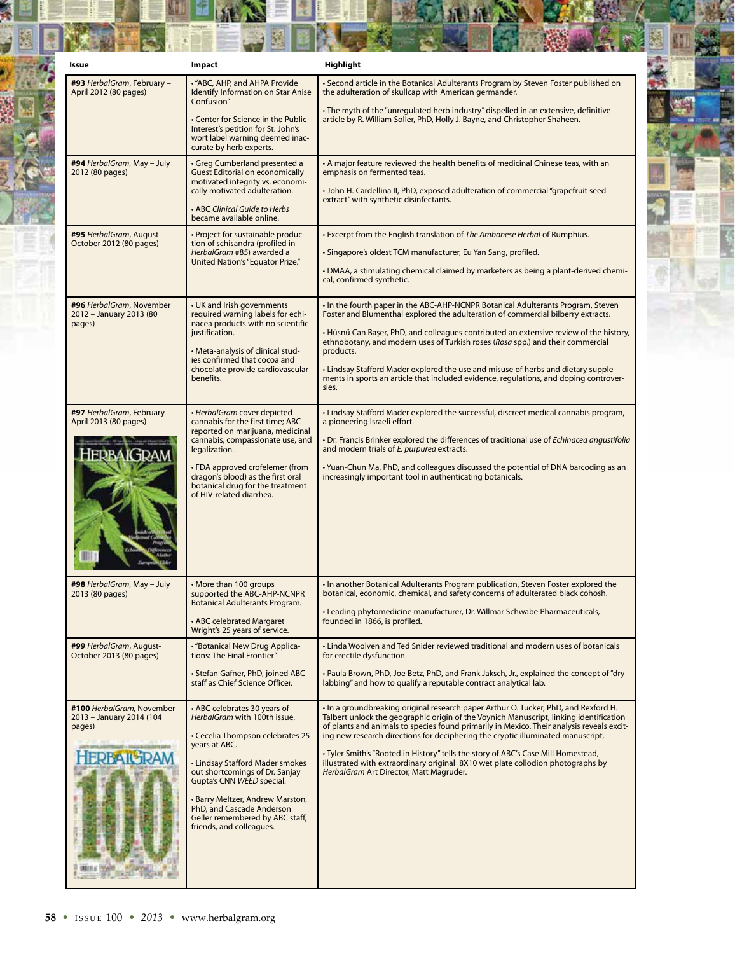| Issue                                                                                | Impact                                                                                                                                                                                                                                                                                                                                              | Highlight                                                                                                                                                                                                                                                                                                                                                                                                                                                                                                                                                                        |
|--------------------------------------------------------------------------------------|-----------------------------------------------------------------------------------------------------------------------------------------------------------------------------------------------------------------------------------------------------------------------------------------------------------------------------------------------------|----------------------------------------------------------------------------------------------------------------------------------------------------------------------------------------------------------------------------------------------------------------------------------------------------------------------------------------------------------------------------------------------------------------------------------------------------------------------------------------------------------------------------------------------------------------------------------|
| #93 HerbalGram, February -<br>April 2012 (80 pages)                                  | • "ABC, AHP, and AHPA Provide<br><b>Identify Information on Star Anise</b><br>Confusion"                                                                                                                                                                                                                                                            | Second article in the Botanical Adulterants Program by Steven Foster published on<br>the adulteration of skullcap with American germander.                                                                                                                                                                                                                                                                                                                                                                                                                                       |
|                                                                                      | • Center for Science in the Public<br>Interest's petition for St. John's<br>wort label warning deemed inac-<br>curate by herb experts.                                                                                                                                                                                                              | . The myth of the "unregulated herb industry" dispelled in an extensive, definitive<br>article by R. William Soller, PhD, Holly J. Bayne, and Christopher Shaheen.                                                                                                                                                                                                                                                                                                                                                                                                               |
| #94 HerbalGram, May - July<br>2012 (80 pages)                                        | · Greg Cumberland presented a<br><b>Guest Editorial on economically</b><br>motivated integrity vs. economi-<br>cally motivated adulteration.<br>• ABC Clinical Guide to Herbs<br>became available online.                                                                                                                                           | • A major feature reviewed the health benefits of medicinal Chinese teas, with an<br>emphasis on fermented teas.<br>• John H. Cardellina II, PhD, exposed adulteration of commercial "grapefruit seed<br>extract" with synthetic disinfectants.                                                                                                                                                                                                                                                                                                                                  |
| #95 HerbalGram, August -<br>October 2012 (80 pages)                                  | • Project for sustainable produc-<br>tion of schisandra (profiled in<br>HerbalGram #85) awarded a<br>United Nation's "Equator Prize."                                                                                                                                                                                                               | . Excerpt from the English translation of The Ambonese Herbal of Rumphius.<br>· Singapore's oldest TCM manufacturer, Eu Yan Sang, profiled.<br>• DMAA, a stimulating chemical claimed by marketers as being a plant-derived chemi-<br>cal, confirmed synthetic.                                                                                                                                                                                                                                                                                                                  |
| #96 HerbalGram, November<br>2012 - January 2013 (80<br>pages)                        | • UK and Irish governments<br>required warning labels for echi-<br>nacea products with no scientific<br>justification.<br>• Meta-analysis of clinical stud-<br>ies confirmed that cocoa and<br>chocolate provide cardiovascular<br>benefits.                                                                                                        | . In the fourth paper in the ABC-AHP-NCNPR Botanical Adulterants Program, Steven<br>Foster and Blumenthal explored the adulteration of commercial bilberry extracts.<br>• Hüsnü Can Başer, PhD, and colleagues contributed an extensive review of the history,<br>ethnobotany, and modern uses of Turkish roses (Rosa spp.) and their commercial<br>products.<br>. Lindsay Stafford Mader explored the use and misuse of herbs and dietary supple-<br>ments in sports an article that included evidence, regulations, and doping controver-<br>sies.                             |
| <b>#97</b> HerbalGram, February -<br>April 2013 (80 pages)<br>AK TRAN                | • HerbalGram cover depicted<br>cannabis for the first time; ABC<br>reported on marijuana, medicinal<br>cannabis, compassionate use, and<br>legalization.<br>• FDA approved crofelemer (from<br>dragon's blood) as the first oral<br>botanical drug for the treatment<br>of HIV-related diarrhea.                                                    | • Lindsay Stafford Mader explored the successful, discreet medical cannabis program,<br>a pioneering Israeli effort.<br>• Dr. Francis Brinker explored the differences of traditional use of Echinacea angustifolia<br>and modern trials of E. purpurea extracts.<br>• Yuan-Chun Ma, PhD, and colleagues discussed the potential of DNA barcoding as an<br>increasingly important tool in authenticating botanicals.                                                                                                                                                             |
| #98 HerbalGram, May - July<br>2013 (80 pages)                                        | • More than 100 groups<br>supported the ABC-AHP-NCNPR<br>Botanical Adulterants Program.<br>• ABC celebrated Margaret<br>Wright's 25 years of service.                                                                                                                                                                                               | . In another Botanical Adulterants Program publication, Steven Foster explored the<br>botanical, economic, chemical, and safety concerns of adulterated black cohosh.<br>• Leading phytomedicine manufacturer, Dr. Willmar Schwabe Pharmaceuticals,<br>founded in 1866, is profiled.                                                                                                                                                                                                                                                                                             |
| #99 HerbalGram, August-<br>October 2013 (80 pages)                                   | • "Botanical New Drug Applica-<br>tions: The Final Frontier"<br>• Stefan Gafner, PhD, joined ABC<br>staff as Chief Science Officer.                                                                                                                                                                                                                 | • Linda Woolven and Ted Snider reviewed traditional and modern uses of botanicals<br>for erectile dysfunction.<br>. Paula Brown, PhD, Joe Betz, PhD, and Frank Jaksch, Jr., explained the concept of "dry<br>labbing" and how to qualify a reputable contract analytical lab.                                                                                                                                                                                                                                                                                                    |
| #100 HerbalGram, November<br>2013 - January 2014 (104<br>pages)<br><b>HERBAIGRAM</b> | • ABC celebrates 30 years of<br>HerbalGram with 100th issue.<br>• Cecelia Thompson celebrates 25<br>years at ABC.<br>• Lindsay Stafford Mader smokes<br>out shortcomings of Dr. Sanjay<br>Gupta's CNN WEED special.<br>· Barry Meltzer, Andrew Marston,<br>PhD, and Cascade Anderson<br>Geller remembered by ABC staff,<br>friends, and colleagues. | . In a groundbreaking original research paper Arthur O. Tucker, PhD, and Rexford H.<br>Talbert unlock the geographic origin of the Voynich Manuscript, linking identification<br>of plants and animals to species found primarily in Mexico. Their analysis reveals excit-<br>ing new research directions for deciphering the cryptic illuminated manuscript.<br>• Tyler Smith's "Rooted in History" tells the story of ABC's Case Mill Homestead,<br>illustrated with extraordinary original 8X10 wet plate collodion photographs by<br>HerbalGram Art Director, Matt Magruder. |